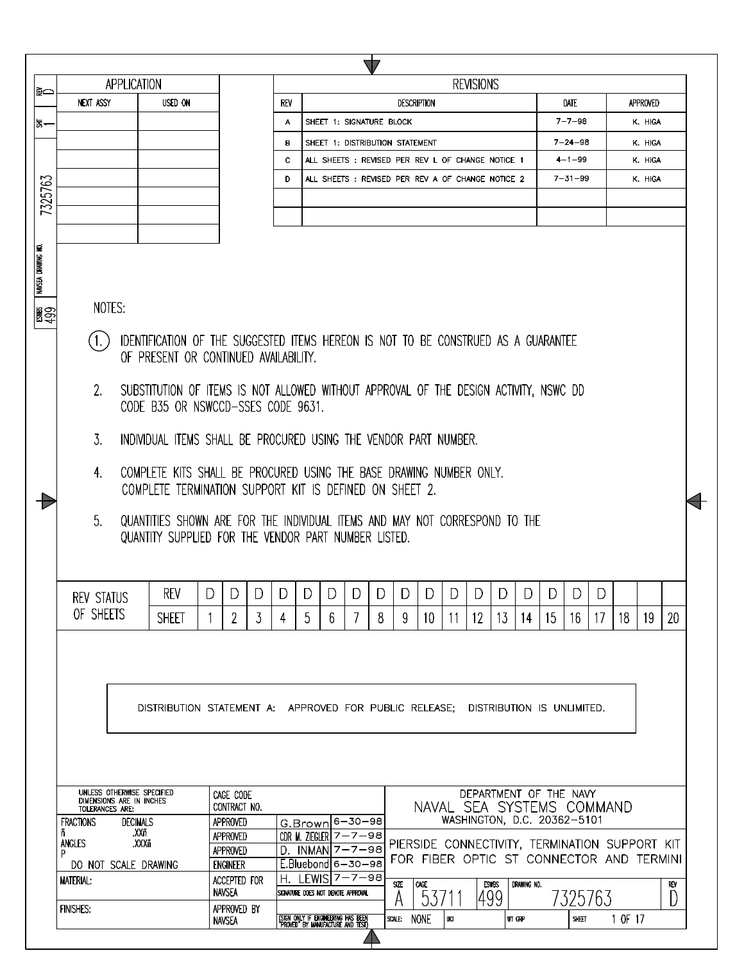|                    | $\mathbb{Z}$                                                                                                                |                                                                                       |                                 |     |                                                                          |         |             |                                                                                            |     |                             |        |             |        |               |    |         |          |          |  |
|--------------------|-----------------------------------------------------------------------------------------------------------------------------|---------------------------------------------------------------------------------------|---------------------------------|-----|--------------------------------------------------------------------------|---------|-------------|--------------------------------------------------------------------------------------------|-----|-----------------------------|--------|-------------|--------|---------------|----|---------|----------|----------|--|
| I≩⇔                |                                                                                                                             | <b>APPLICATION</b>                                                                    |                                 |     |                                                                          |         |             |                                                                                            |     | <b>REVISIONS</b>            |        |             |        |               |    |         |          |          |  |
|                    | <b>NEXT ASSY</b>                                                                                                            | <b>USED ON</b>                                                                        |                                 | REV |                                                                          |         |             | <b>DESCRIPTION</b>                                                                         |     |                             |        |             |        | Date          |    |         | APPROVED |          |  |
| 동~                 |                                                                                                                             |                                                                                       |                                 | А   | SHEET 1: SIGNATURE BLOCK                                                 |         |             |                                                                                            |     |                             |        |             |        | $7 - 7 - 98$  |    |         | K. HIGA  |          |  |
|                    |                                                                                                                             |                                                                                       |                                 | в   | SHEET 1: DISTRIBUTION STATEMENT                                          |         |             |                                                                                            |     |                             |        |             |        | $7 - 24 - 98$ |    |         | K. HIGA  |          |  |
|                    |                                                                                                                             |                                                                                       |                                 | c   | ALL SHEETS : REVISED PER REV L OF CHANGE NOTICE 1                        |         |             |                                                                                            |     |                             |        |             |        | $4 - 1 - 99$  |    |         | K. HIGA  |          |  |
|                    |                                                                                                                             |                                                                                       |                                 | D   | ALL SHEETS: REVISED PER REV A OF CHANGE NOTICE 2                         |         |             |                                                                                            |     |                             |        |             |        | $7 - 31 - 99$ |    |         | K. HIGA  |          |  |
| 7325763            |                                                                                                                             |                                                                                       |                                 |     |                                                                          |         |             |                                                                                            |     |                             |        |             |        |               |    |         |          |          |  |
|                    |                                                                                                                             |                                                                                       |                                 |     |                                                                          |         |             |                                                                                            |     |                             |        |             |        |               |    |         |          |          |  |
|                    |                                                                                                                             |                                                                                       |                                 |     |                                                                          |         |             |                                                                                            |     |                             |        |             |        |               |    |         |          |          |  |
|                    |                                                                                                                             |                                                                                       |                                 |     |                                                                          |         |             |                                                                                            |     |                             |        |             |        |               |    |         |          |          |  |
| NAVSEA DRAWING NO. |                                                                                                                             |                                                                                       |                                 |     |                                                                          |         |             |                                                                                            |     |                             |        |             |        |               |    |         |          |          |  |
| ∦္တ္ဆ              | NOTES:                                                                                                                      |                                                                                       |                                 |     |                                                                          |         |             |                                                                                            |     |                             |        |             |        |               |    |         |          |          |  |
|                    |                                                                                                                             |                                                                                       |                                 |     |                                                                          |         |             |                                                                                            |     |                             |        |             |        |               |    |         |          |          |  |
|                    | IDENTIFICATION OF THE SUGGESTED ITEMS HEREON IS NOT TO BE CONSTRUED AS A GUARANTEE<br>OF PRESENT OR CONTINUED AVAILABILITY. |                                                                                       |                                 |     |                                                                          |         |             |                                                                                            |     |                             |        |             |        |               |    |         |          |          |  |
|                    |                                                                                                                             |                                                                                       |                                 |     |                                                                          |         |             |                                                                                            |     |                             |        |             |        |               |    |         |          |          |  |
|                    | 2.                                                                                                                          | SUBSTITUTION OF ITEMS IS NOT ALLOWED WITHOUT APPROVAL OF THE DESIGN ACTIVITY, NSWC DD |                                 |     |                                                                          |         |             |                                                                                            |     |                             |        |             |        |               |    |         |          |          |  |
|                    |                                                                                                                             | CODE B35 OR NSWCCD-SSES CODE 9631.                                                    |                                 |     |                                                                          |         |             |                                                                                            |     |                             |        |             |        |               |    |         |          |          |  |
|                    | 3.<br>INDIVIDUAL ITEMS SHALL BE PROCURED USING THE VENDOR PART NUMBER.                                                      |                                                                                       |                                 |     |                                                                          |         |             |                                                                                            |     |                             |        |             |        |               |    |         |          |          |  |
|                    | 4.                                                                                                                          | COMPLETE KITS SHALL BE PROCURED USING THE BASE DRAWING NUMBER ONLY.                   |                                 |     |                                                                          |         |             |                                                                                            |     |                             |        |             |        |               |    |         |          |          |  |
|                    |                                                                                                                             | COMPLETE TERMINATION SUPPORT KIT IS DEFINED ON SHEET 2.                               |                                 |     |                                                                          |         |             |                                                                                            |     |                             |        |             |        |               |    |         |          |          |  |
|                    | 5 <sub>1</sub>                                                                                                              | QUANTITIES SHOWN ARE FOR THE INDIVIDUAL ITEMS AND MAY NOT CORRESPOND TO THE           |                                 |     |                                                                          |         |             |                                                                                            |     |                             |        |             |        |               |    |         |          |          |  |
|                    |                                                                                                                             | QUANTITY SUPPLIED FOR THE VENDOR PART NUMBER LISTED.                                  |                                 |     |                                                                          |         |             |                                                                                            |     |                             |        |             |        |               |    |         |          |          |  |
|                    |                                                                                                                             |                                                                                       |                                 |     |                                                                          |         |             |                                                                                            |     |                             |        |             |        |               |    |         |          |          |  |
|                    |                                                                                                                             | REV                                                                                   | D <sub>1</sub><br>D<br>DΙ       | D I | D<br>D.                                                                  | DI<br>D | DI          |                                                                                            | DID | D.                          | D      | D           | D I    | D             | D. |         |          |          |  |
|                    | REV STATUS<br>OF SHEETS                                                                                                     |                                                                                       |                                 |     |                                                                          |         |             |                                                                                            |     |                             |        |             |        |               |    |         |          |          |  |
|                    |                                                                                                                             | <b>SHEET</b>                                                                          | 2<br>3                          | 4   | 5<br>6                                                                   | 7       | 8<br>9      | 10                                                                                         | -11 | $12 \,$                     | 13     | 14          | $15\,$ | 16            | 17 | 18      | 19       | 20       |  |
|                    |                                                                                                                             |                                                                                       |                                 |     |                                                                          |         |             |                                                                                            |     |                             |        |             |        |               |    |         |          |          |  |
|                    |                                                                                                                             |                                                                                       |                                 |     |                                                                          |         |             |                                                                                            |     |                             |        |             |        |               |    |         |          |          |  |
|                    |                                                                                                                             |                                                                                       |                                 |     |                                                                          |         |             |                                                                                            |     |                             |        |             |        |               |    |         |          |          |  |
|                    |                                                                                                                             | DISTRIBUTION STATEMENT A: APPROVED FOR PUBLIC RELEASE; DISTRIBUTION IS UNLIMITED.     |                                 |     |                                                                          |         |             |                                                                                            |     |                             |        |             |        |               |    |         |          |          |  |
|                    |                                                                                                                             |                                                                                       |                                 |     |                                                                          |         |             |                                                                                            |     |                             |        |             |        |               |    |         |          |          |  |
|                    |                                                                                                                             |                                                                                       |                                 |     |                                                                          |         |             |                                                                                            |     |                             |        |             |        |               |    |         |          |          |  |
|                    |                                                                                                                             |                                                                                       |                                 |     |                                                                          |         |             |                                                                                            |     |                             |        |             |        |               |    |         |          |          |  |
|                    | UNLESS OTHERWISE SPECIFIED                                                                                                  |                                                                                       | CAGE CODE                       |     |                                                                          |         |             |                                                                                            |     | DEPARTMENT OF THE NAVY      |        |             |        |               |    |         |          |          |  |
|                    | DIMENSIONS ARE IN INCHES<br>TOLERANCES ARE:                                                                                 |                                                                                       | CONTRACT NO.                    |     |                                                                          |         |             | NAVAL SEA SYSTEMS COMMAND                                                                  |     | WASHINGTON, D.C. 20362-5101 |        |             |        |               |    |         |          |          |  |
|                    | <b>FRACTIONS</b><br>ñ                                                                                                       | <b>DECIMALS</b><br>.XXñ                                                               | APPROVED<br>APPROVED            |     | G.Brown 6-30-98<br>CDR M. ZIEGLER $7 - 7 - 98$                           |         |             |                                                                                            |     |                             |        |             |        |               |    |         |          |          |  |
|                    | ANGLES<br>P                                                                                                                 | .XXXñ                                                                                 | APPROVED                        | D.  | INMAN 7-7-98                                                             |         |             | PIERSIDE CONNECTIVITY, TERMINATION SUPPORT KIT<br>FOR FIBER OPTIC ST CONNECTOR AND TERMINI |     |                             |        |             |        |               |    |         |          |          |  |
|                    | DO NOT SCALE DRAWING<br><b>MATERIAL:</b>                                                                                    |                                                                                       | <b>ENGINEER</b><br>ACCEPTED FOR | Н.  | $E.Bluebond 6-30-98$<br>LEWIS 7-7-98                                     |         |             |                                                                                            |     |                             |        |             |        |               |    |         |          |          |  |
|                    |                                                                                                                             |                                                                                       | <b>NAVSEA</b>                   |     | SIGNATURE DOES NOT DENOTE APPROVAL                                       |         | SIZE        | CAGE.<br>5371                                                                              |     | <b>ESWBS</b><br> 499        |        | DRAWING NO. |        | 7325763       |    |         |          | R€V<br>D |  |
|                    | <b>FINISHES:</b>                                                                                                            |                                                                                       | APPROVED BY                     |     |                                                                          |         | SCALE: NONE |                                                                                            | UCI |                             | WT GRP |             |        | SHEET         |    | 1 OF 17 |          |          |  |
|                    |                                                                                                                             |                                                                                       | <b>NAVSEA</b>                   |     | (SIGN ONLY IF ENGINEERING HAS BEEN)<br>"PROVED" BY MANUFACTURE AND TEST) |         |             |                                                                                            |     |                             |        |             |        |               |    |         |          |          |  |

 $\sqrt{2}$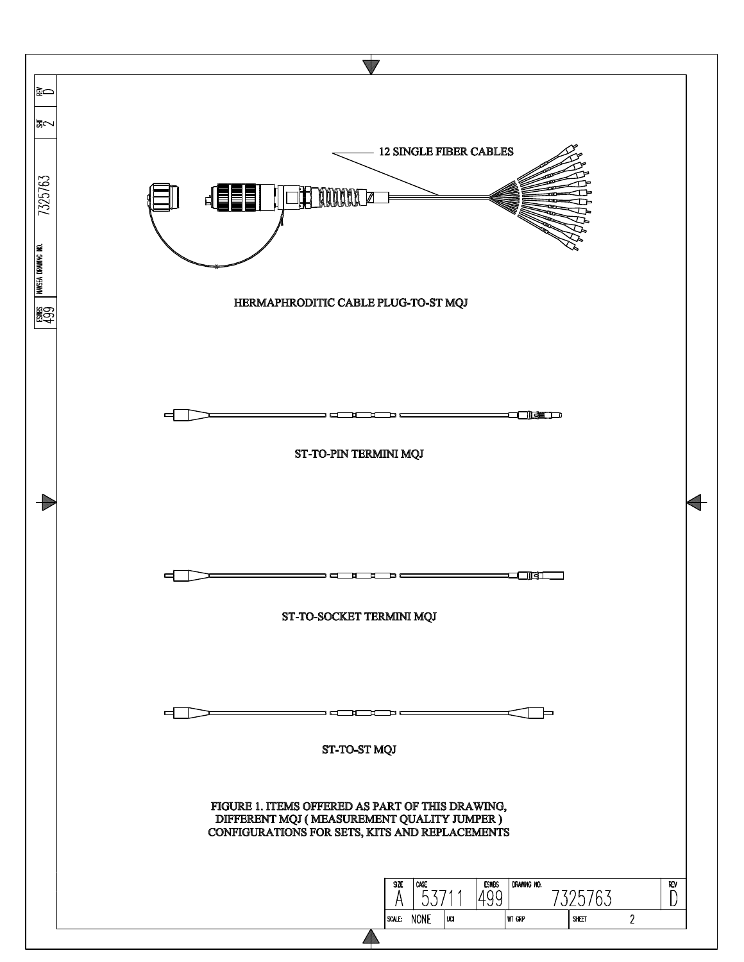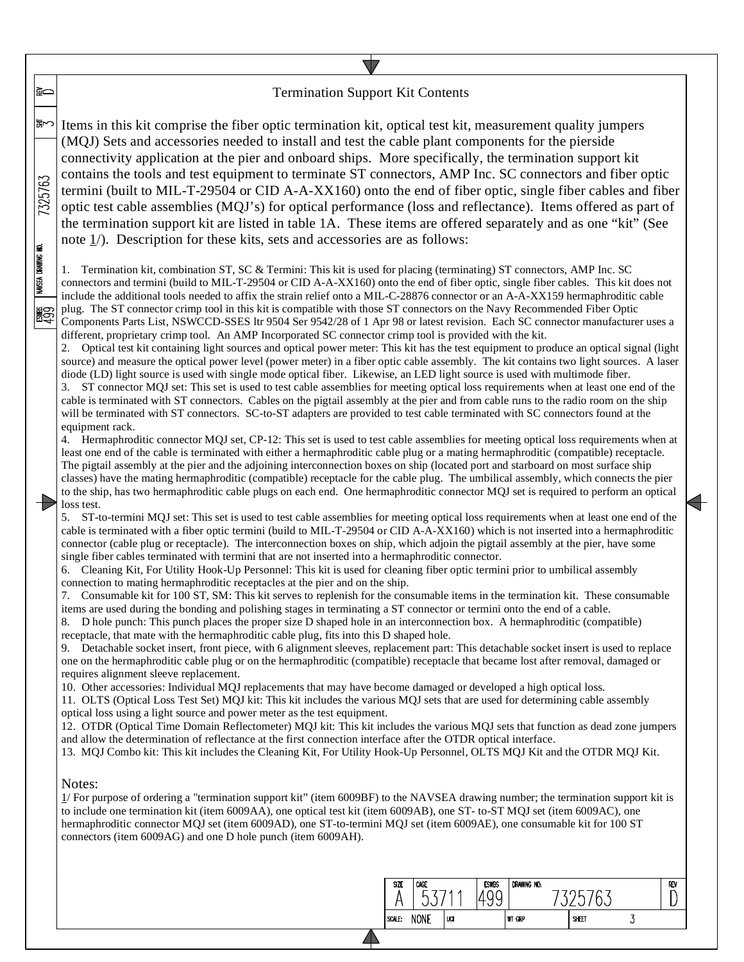# Termination Support Kit Contents

いっ Items in this kit comprise the fiber optic termination kit, optical test kit, measurement quality jumpers (MQJ) Sets and accessories needed to install and test the cable plant components for the pierside connectivity application at the pier and onboard ships. More specifically, the termination support kit contains the tools and test equipment to terminate ST connectors, AMP Inc. SC connectors and fiber optic 7325763 termini (built to MIL-T-29504 or CID A-A-XX160) onto the end of fiber optic, single fiber cables and fiber optic test cable assemblies (MQJ's) for optical performance (loss and reflectance). Items offered as part of the termination support kit are listed in table 1A. These items are offered separately and as one "kit" (See note 1/). Description for these kits, sets and accessories are as follows:

1. Termination kit, combination ST, SC & Termini: This kit is used for placing (terminating) ST connectors, AMP Inc. SC connectors and termini (build to MIL-T-29504 or CID A-A-XX160) onto the end of fiber optic, single fiber cables. This kit does not include the additional tools needed to affix the strain relief onto a MIL-C-28876 connector or an A-A-XX159 hermaphroditic cable plug. The ST connector crimp tool in this kit is compatible with those ST connectors on the Navy Recommended Fiber Optic Components Parts List, NSWCCD-SSES ltr 9504 Ser 9542/28 of 1 Apr 98 or latest revision. Each SC connector manufacturer uses a different, proprietary crimp tool. An AMP Incorporated SC connector crimp tool is provided with the kit.

2. Optical test kit containing light sources and optical power meter: This kit has the test equipment to produce an optical signal (light source) and measure the optical power level (power meter) in a fiber optic cable assembly. The kit contains two light sources. A laser diode (LD) light source is used with single mode optical fiber. Likewise, an LED light source is used with multimode fiber.

3. ST connector MQJ set: This set is used to test cable assemblies for meeting optical loss requirements when at least one end of the cable is terminated with ST connectors. Cables on the pigtail assembly at the pier and from cable runs to the radio room on the ship will be terminated with ST connectors. SC-to-ST adapters are provided to test cable terminated with SC connectors found at the equipment rack.

4. Hermaphroditic connector MQJ set, CP-12: This set is used to test cable assemblies for meeting optical loss requirements when at least one end of the cable is terminated with either a hermaphroditic cable plug or a mating hermaphroditic (compatible) receptacle. The pigtail assembly at the pier and the adjoining interconnection boxes on ship (located port and starboard on most surface ship classes) have the mating hermaphroditic (compatible) receptacle for the cable plug. The umbilical assembly, which connects the pier to the ship, has two hermaphroditic cable plugs on each end. One hermaphroditic connector MQJ set is required to perform an optical loss test.

5. ST-to-termini MQJ set: This set is used to test cable assemblies for meeting optical loss requirements when at least one end of the cable is terminated with a fiber optic termini (build to MIL-T-29504 or CID A-A-XX160) which is not inserted into a hermaphroditic connector (cable plug or receptacle). The interconnection boxes on ship, which adjoin the pigtail assembly at the pier, have some single fiber cables terminated with termini that are not inserted into a hermaphroditic connector.

6. Cleaning Kit, For Utility Hook-Up Personnel: This kit is used for cleaning fiber optic termini prior to umbilical assembly connection to mating hermaphroditic receptacles at the pier and on the ship.

7. Consumable kit for 100 ST, SM: This kit serves to replenish for the consumable items in the termination kit. These consumable items are used during the bonding and polishing stages in terminating a ST connector or termini onto the end of a cable.

8. D hole punch: This punch places the proper size D shaped hole in an interconnection box. A hermaphroditic (compatible) receptacle, that mate with the hermaphroditic cable plug, fits into this D shaped hole.

9. Detachable socket insert, front piece, with 6 alignment sleeves, replacement part: This detachable socket insert is used to replace one on the hermaphroditic cable plug or on the hermaphroditic (compatible) receptacle that became lost after removal, damaged or requires alignment sleeve replacement.

10. Other accessories: Individual MQJ replacements that may have become damaged or developed a high optical loss.

11. OLTS (Optical Loss Test Set) MQJ kit: This kit includes the various MQJ sets that are used for determining cable assembly optical loss using a light source and power meter as the test equipment.

12. OTDR (Optical Time Domain Reflectometer) MQJ kit: This kit includes the various MQJ sets that function as dead zone jumpers and allow the determination of reflectance at the first connection interface after the OTDR optical interface.

13. MQJ Combo kit: This kit includes the Cleaning Kit, For Utility Hook-Up Personnel, OLTS MQJ Kit and the OTDR MQJ Kit.

### Notes:

।≩⇔

NAVSEA DRAWING NO.

**ISS** 

1/ For purpose of ordering a "termination support kit" (item 6009BF) to the NAVSEA drawing number; the termination support kit is to include one termination kit (item 6009AA), one optical test kit (item 6009AB), one ST- to-ST MQJ set (item 6009AC), one hermaphroditic connector MQJ set (item 6009AD), one ST-to-termini MQJ set (item 6009AE), one consumable kit for 100 ST connectors (item 6009AG) and one D hole punch (item 6009AH).

| <b>NONE</b><br>SCALE:<br>UCI<br><b>WT GRP</b><br>SHEET |  |
|--------------------------------------------------------|--|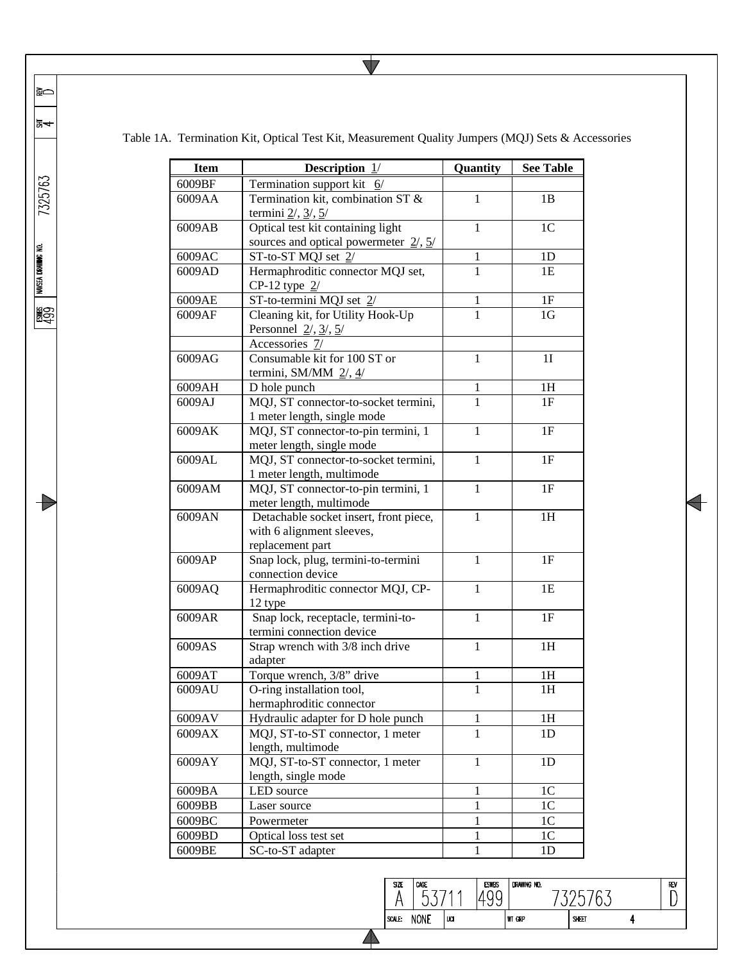|  | Table 1A. Termination Kit, Optical Test Kit, Measurement Quality Jumpers (MQJ) Sets & Accessories |  |  |  |  |  |
|--|---------------------------------------------------------------------------------------------------|--|--|--|--|--|
|--|---------------------------------------------------------------------------------------------------|--|--|--|--|--|

 $\overline{\bm{\triangledown}}$ 

| <b>Item</b> | <b>Description</b> $1/$                                           | Quantity     | <b>See Table</b> |
|-------------|-------------------------------------------------------------------|--------------|------------------|
| 6009BF      | Termination support kit $6/$                                      |              |                  |
| 6009AA      | Termination kit, combination ST &                                 | 1            | 1B               |
|             | termini $2/$ , $3/$ , $5/$                                        |              |                  |
| 6009AB      | Optical test kit containing light                                 | 1            | 1 <sup>C</sup>   |
|             | sources and optical powermeter $2/$ , $5/$                        |              |                  |
| 6009AC      | $ST$ -to-ST MQJ set $2/$                                          | 1            | 1 <sub>D</sub>   |
| 6009AD      | Hermaphroditic connector MQJ set,                                 | 1            | 1E               |
|             | CP-12 type $2/$                                                   |              |                  |
| 6009AE      | ST-to-termini MQJ set 2/                                          | 1            | 1F               |
| 6009AF      | Cleaning kit, for Utility Hook-Up<br>Personnel $2/$ , $3/$ , $5/$ | 1            | 1G               |
|             | Accessories 7/                                                    |              |                  |
| 6009AG      | Consumable kit for 100 ST or                                      | 1            | 1 <sub>I</sub>   |
|             | termini, SM/MM $2/$ , $4/$                                        |              |                  |
| 6009AH      | D hole punch                                                      | 1            | 1H               |
| 6009AJ      | MQJ, ST connector-to-socket termini,                              | $\mathbf{1}$ | 1F               |
|             | 1 meter length, single mode                                       |              |                  |
| 6009AK      | MQJ, ST connector-to-pin termini, 1                               | 1            | 1F               |
|             | meter length, single mode                                         |              |                  |
| 6009AL      | MQJ, ST connector-to-socket termini,                              | 1            | 1F               |
|             | 1 meter length, multimode                                         |              |                  |
| 6009AM      | MQJ, ST connector-to-pin termini, 1                               | 1            | 1F               |
|             | meter length, multimode                                           |              |                  |
| 6009AN      | Detachable socket insert, front piece,                            | 1            | 1H               |
|             | with 6 alignment sleeves,                                         |              |                  |
|             | replacement part                                                  |              |                  |
| 6009AP      | Snap lock, plug, termini-to-termini                               | $\mathbf{1}$ | 1F               |
| 6009AQ      | connection device<br>Hermaphroditic connector MQJ, CP-            | $\mathbf{1}$ | 1E               |
|             | 12 type                                                           |              |                  |
| 6009AR      | Snap lock, receptacle, termini-to-                                | $\mathbf{1}$ | 1F               |
|             | termini connection device                                         |              |                  |
| 6009AS      | Strap wrench with 3/8 inch drive                                  | $\mathbf{1}$ | 1H               |
|             | adapter                                                           |              |                  |
| 6009AT      | Torque wrench, 3/8" drive                                         | 1            | 1H               |
| 6009AU      | O-ring installation tool,                                         | $\mathbf{1}$ | 1H               |
|             | hermaphroditic connector                                          |              |                  |
| 6009AV      | Hydraulic adapter for D hole punch                                | 1            | 1H               |
| 6009AX      | MQJ, ST-to-ST connector, 1 meter                                  | 1            | 1 <sub>D</sub>   |
|             | length, multimode                                                 |              |                  |
| 6009AY      | MQJ, ST-to-ST connector, 1 meter                                  | $\mathbf{1}$ | 1D               |
|             | length, single mode                                               |              |                  |
| 6009BA      | LED source                                                        | 1            | 1 <sub>C</sub>   |
| 6009BB      | Laser source                                                      | $\mathbf{1}$ | 1 <sup>C</sup>   |
| 6009BC      | Powermeter                                                        | $\mathbf{1}$ | 1 <sup>C</sup>   |
| 6009BD      | Optical loss test set                                             | $\mathbf{1}$ | 1 <sup>C</sup>   |
| 6009BE      | SC-to-ST adapter                                                  | $\mathbf{1}$ | 1 <sub>D</sub>   |

|क्र<del>⊲</del> 7325763  $\begin{array}{l|l} \hbox{ESMBS} & \hbox{IMSEA DRMMK} \hbox{ MOL} \ \hline 499 & \hline \end{array}$  $\rightarrow$ 

|≩⇔

ESWES<br>499

 $\begin{array}{c}\n\overline{\text{size}} \\
\uparrow\n\end{array}$ 

 $\blacktriangle$ 

 $\sqrt{\frac{CAGE}{53711}}$ 

SCALE: NONE UCI

7325763

DRAWING NO.

WT GRP

 $\overline{\phantom{0}}$ 

 $\begin{array}{c}\n\hline\n\text{REV} \\
\hline\n\end{array}$ 

 $\overline{4}$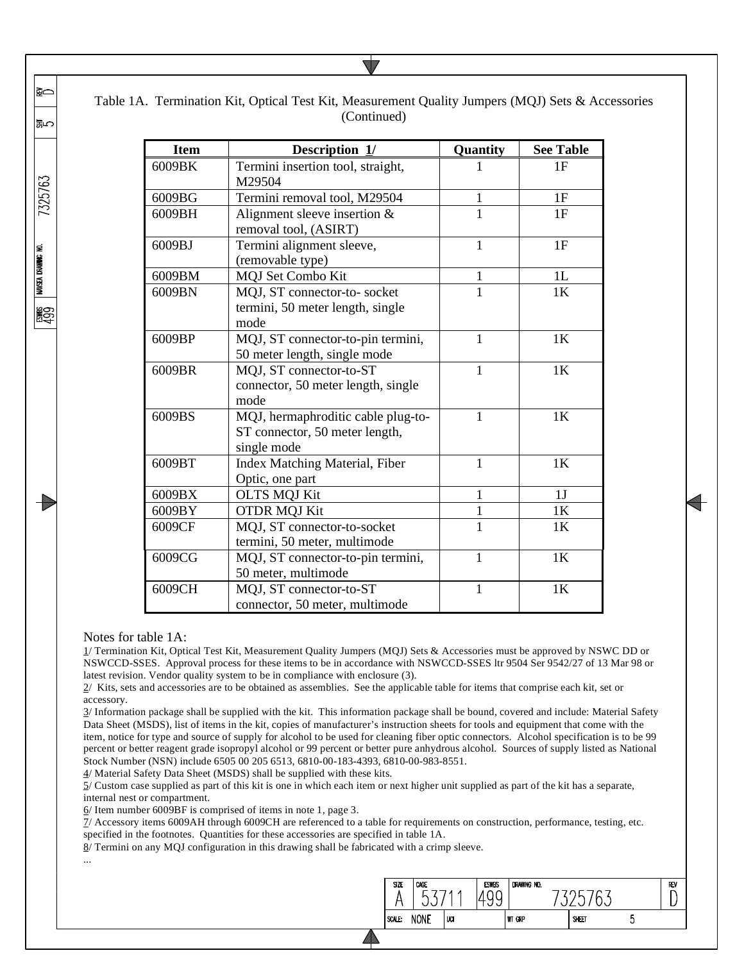| <b>Item</b> | Description $1/$                                                                    | Quantity     | <b>See Table</b> |
|-------------|-------------------------------------------------------------------------------------|--------------|------------------|
| 6009BK      | Termini insertion tool, straight,<br>M29504                                         | 1            | 1F               |
| 6009BG      | Termini removal tool, M29504                                                        | $\mathbf{1}$ | 1F               |
| 6009BH      | Alignment sleeve insertion $&$<br>removal tool, (ASIRT)                             | $\mathbf{1}$ | 1F               |
| 6009BJ      | Termini alignment sleeve,<br>(removable type)                                       | 1            | 1F               |
| 6009BM      | <b>MQJ</b> Set Combo Kit                                                            | $\mathbf{1}$ | 1L               |
| 6009BN      | MQJ, ST connector-to- socket<br>termini, 50 meter length, single<br>mode            | 1            | 1 <sup>K</sup>   |
| 6009BP      | MQJ, ST connector-to-pin termini,<br>50 meter length, single mode                   | $\mathbf{1}$ | 1 <sub>K</sub>   |
| 6009BR      | MQJ, ST connector-to-ST<br>connector, 50 meter length, single<br>mode               | 1            | 1 <sub>K</sub>   |
| 6009BS      | MQJ, hermaphroditic cable plug-to-<br>ST connector, 50 meter length,<br>single mode | $\mathbf{1}$ | 1K               |
| 6009BT      | Index Matching Material, Fiber<br>Optic, one part                                   | 1            | 1K               |
| 6009BX      | <b>OLTS MQJ Kit</b>                                                                 | 1            | 1J               |
| 6009BY      | <b>OTDR MQJ Kit</b>                                                                 | 1            | 1K               |
| 6009CF      | MQJ, ST connector-to-socket<br>termini, 50 meter, multimode                         | 1            | 1K               |
| 6009CG      | MQJ, ST connector-to-pin termini,<br>50 meter, multimode                            | $\mathbf{1}$ | 1K               |
| 6009CH      | MQJ, ST connector-to-ST<br>connector, 50 meter, multimode                           | $\mathbf{1}$ | 1K               |

# Table 1A. Termination Kit, Optical Test Kit, Measurement Quality Jumpers (MQJ) Sets & Accessories (Continued)

#### Notes for table 1A:

1/ Termination Kit, Optical Test Kit, Measurement Quality Jumpers (MQJ) Sets & Accessories must be approved by NSWC DD or NSWCCD-SSES. Approval process for these items to be in accordance with NSWCCD-SSES ltr 9504 Ser 9542/27 of 13 Mar 98 or latest revision. Vendor quality system to be in compliance with enclosure (3).

2/ Kits, sets and accessories are to be obtained as assemblies. See the applicable table for items that comprise each kit, set or accessory.

3/ Information package shall be supplied with the kit. This information package shall be bound, covered and include: Material Safety Data Sheet (MSDS), list of items in the kit, copies of manufacturer's instruction sheets for tools and equipment that come with the item, notice for type and source of supply for alcohol to be used for cleaning fiber optic connectors. Alcohol specification is to be 99 percent or better reagent grade isopropyl alcohol or 99 percent or better pure anhydrous alcohol. Sources of supply listed as National Stock Number (NSN) include 6505 00 205 6513, 6810-00-183-4393, 6810-00-983-8551.

4/ Material Safety Data Sheet (MSDS) shall be supplied with these kits.

 $5/$  Custom case supplied as part of this kit is one in which each item or next higher unit supplied as part of the kit has a separate, internal nest or compartment.

6/ Item number 6009BF is comprised of items in note 1, page 3.

7/ Accessory items 6009AH through 6009CH are referenced to a table for requirements on construction, performance, testing, etc. specified in the footnotes. Quantities for these accessories are specified in table 1A.

> SIZE<sub>1</sub> CAGE

A SCALE: NONE

53

luci

**ESWBS** 

1499

DRAWING NO.

WT GRP

7325763

SHEET

REV

D

 $5<sup>5</sup>$ 

8/ Termini on any MQJ configuration in this drawing shall be fabricated with a crimp sleeve.

...

≩⇔

いい

7325763

NAVSEA DRAWING NO.

**ASS** 

T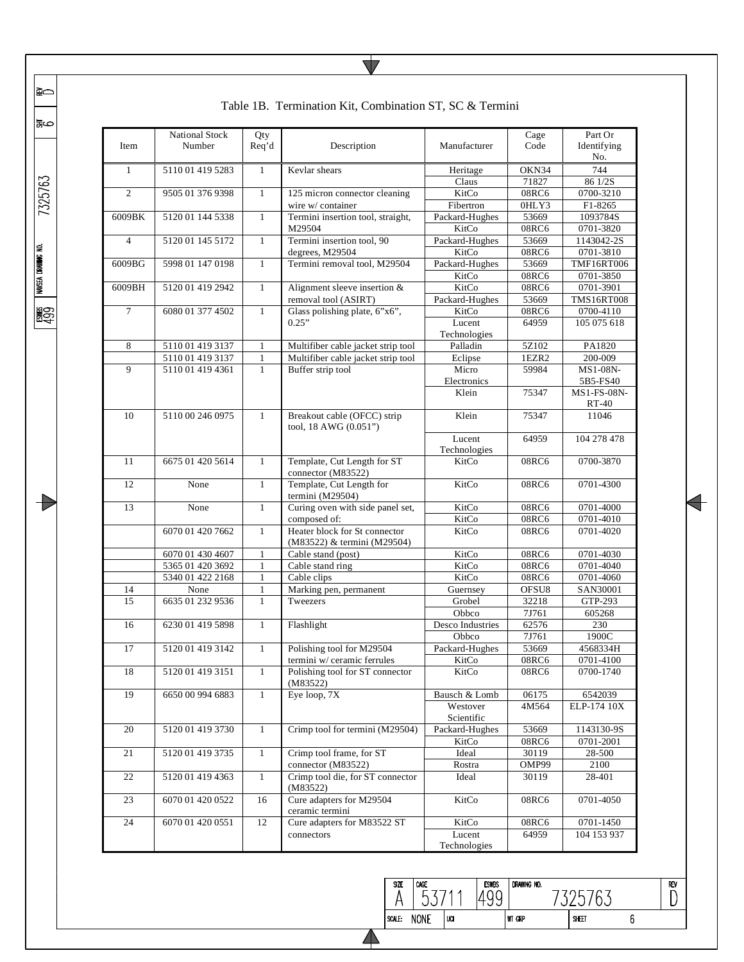| $\mathbf{1}$<br>2<br>6009BK<br>$\overline{4}$ | 5110 01 419 5283<br>9505 01 376 9398 | $\mathbf{1}$ | Kevlar shears                                                |                        |       | No.                  |
|-----------------------------------------------|--------------------------------------|--------------|--------------------------------------------------------------|------------------------|-------|----------------------|
|                                               |                                      |              |                                                              | Heritage               | OKN34 | 744                  |
|                                               |                                      |              |                                                              | Claus                  | 71827 | 86 1/2S              |
|                                               |                                      | $\mathbf{1}$ | 125 micron connector cleaning                                | KitCo                  | 08RC6 | 0700-3210            |
|                                               |                                      |              | wire w/ container                                            | Fibertron              | 0HLY3 | F1-8265              |
|                                               | 5120 01 144 5338                     | $\mathbf{1}$ | Termini insertion tool, straight,                            | Packard-Hughes         | 53669 | 1093784S             |
|                                               |                                      |              | M29504                                                       | KitCo                  | 08RC6 | 0701-3820            |
|                                               | 5120 01 145 5172                     | $\mathbf{1}$ | Termini insertion tool, 90                                   | Packard-Hughes         | 53669 | 1143042-2S           |
|                                               |                                      |              | degrees, M29504                                              | KitCo                  | 08RC6 | 0701-3810            |
| 6009BG                                        | 5998 01 147 0198                     | $\mathbf{1}$ | Termini removal tool, M29504                                 | Packard-Hughes         | 53669 | <b>TMF16RT006</b>    |
|                                               |                                      |              |                                                              | KitCo                  | 08RC6 | 0701-3850            |
| 6009BH                                        | 5120 01 419 2942                     | $\mathbf{1}$ | Alignment sleeve insertion &                                 | KitCo                  | 08RC6 | 0701-3901            |
|                                               |                                      |              | removal tool (ASIRT)                                         | Packard-Hughes         | 53669 | <b>TMS16RT008</b>    |
| $\tau$                                        | 6080 01 377 4502                     | $\mathbf{1}$ | Glass polishing plate, 6"x6",                                | KitCo                  | 08RC6 | 0700-4110            |
|                                               |                                      |              | 0.25"                                                        | Lucent                 | 64959 | 105 075 618          |
|                                               |                                      |              |                                                              | Technologies           |       |                      |
| 8                                             | 5110 01 419 3137                     | $\mathbf{1}$ | Multifiber cable jacket strip tool                           | Palladin               | 5Z102 | PA1820               |
|                                               | 5110 01 419 3137                     | $\mathbf{1}$ | Multifiber cable jacket strip tool                           | Eclipse                | 1EZR2 | 200-009              |
| 9                                             | 5110 01 419 4361                     | $\mathbf{1}$ | Buffer strip tool                                            | Micro                  | 59984 | MS1-08N-             |
|                                               |                                      |              |                                                              | Electronics            |       | 5B5-FS40             |
|                                               |                                      |              |                                                              | Klein                  | 75347 | MS1-FS-08N-<br>RT-40 |
| 10                                            | 5110 00 246 0975                     | $\mathbf{1}$ | Breakout cable (OFCC) strip<br>tool, 18 AWG (0.051")         | Klein                  | 75347 | 11046                |
|                                               |                                      |              |                                                              | Lucent<br>Technologies | 64959 | 104 278 478          |
| 11                                            | 6675 01 420 5614                     | $\mathbf{1}$ | Template, Cut Length for ST<br>connector (M83522)            | KitCo                  | 08RC6 | 0700-3870            |
| 12                                            | None                                 | $\mathbf{1}$ | Template, Cut Length for<br>termini (M29504)                 | KitCo                  | 08RC6 | 0701-4300            |
| 13                                            | None                                 | $\mathbf{1}$ | Curing oven with side panel set,                             | KitCo                  | 08RC6 | 0701-4000            |
|                                               |                                      |              | composed of:                                                 | KitCo                  | 08RC6 | 0701-4010            |
|                                               | 6070 01 420 7662                     | $\mathbf{1}$ | Heater block for St connector<br>(M83522) & termini (M29504) | KitCo                  | 08RC6 | 0701-4020            |
|                                               | 6070 01 430 4607                     | $\mathbf{1}$ | Cable stand (post)                                           | KitCo                  | 08RC6 | 0701-4030            |
|                                               | 5365 01 420 3692                     | 1            | Cable stand ring                                             | KitCo                  | 08RC6 | 0701-4040            |
|                                               | 5340 01 422 2168                     | $\mathbf{1}$ | Cable clips                                                  | KitCo                  | 08RC6 | 0701-4060            |
| 14                                            | None                                 | $\mathbf{1}$ | Marking pen, permanent                                       | Guernsey               | OFSU8 | SAN30001             |
| 15                                            | 6635 01 232 9536                     | $\mathbf{1}$ | Tweezers                                                     | Grobel                 | 32218 | GTP-293              |
|                                               |                                      |              |                                                              | Obbco                  | 7J761 | 605268               |
| 16                                            | 6230 01 419 5898                     | $\mathbf{1}$ | Flashlight                                                   | Desco Industries       | 62576 | 230                  |
|                                               |                                      |              |                                                              | Obbco                  | 7J761 | 1900C                |
| 17                                            | 5120 01 419 3142                     | $\mathbf{1}$ | Polishing tool for M29504                                    | Packard-Hughes         | 53669 | 4568334H             |
|                                               |                                      |              | termini w/ ceramic ferrules                                  | KitCo                  | 08RC6 | 0701-4100            |
| 18                                            | 5120 01 419 3151                     | $\mathbf{1}$ | Polishing tool for ST connector<br>(M83522)                  | KitCo                  | 08RC6 | 0700-1740            |
| 19                                            | 6650 00 994 6883                     | $\mathbf{1}$ | Eye loop, 7X                                                 | Bausch & Lomb          | 06175 | 6542039              |
|                                               |                                      |              |                                                              | Westover               | 4M564 | ELP-174 10X          |
|                                               |                                      |              |                                                              | Scientific             |       |                      |
| 20                                            | 5120 01 419 3730                     | $\mathbf{1}$ | Crimp tool for termini (M29504)                              | Packard-Hughes         | 53669 | 1143130-9S           |
|                                               |                                      |              |                                                              | KitCo                  | 08RC6 | 0701-2001            |
|                                               | 5120 01 419 3735                     | $\mathbf{1}$ | Crimp tool frame, for ST                                     | Ideal                  | 30119 | 28-500               |
| 21                                            |                                      |              | connector (M83522)                                           | Rostra                 | OMP99 | 2100                 |
|                                               |                                      | $\mathbf{1}$ | Crimp tool die, for ST connector                             | Ideal                  | 30119 | 28-401               |
| 22                                            | 5120 01 419 4363                     |              | (M83522)                                                     |                        |       |                      |
| 23                                            | 6070 01 420 0522                     | 16           | Cure adapters for M29504                                     | KitCo                  | 08RC6 | 0701-4050            |
| 24                                            | 6070 01 420 0551                     | 12           | ceramic termini<br>Cure adapters for M83522 ST               | KitCo                  | 08RC6 | 0701-1450            |

 $\begin{array}{c}\n\overline{\text{size}} \\
\overline{\text{A}}\n\end{array}$ 

 $\blacktriangle$ 

SCALE: NONE

 $\sqrt{\frac{CAGE}{53711}}$ 

 $\overline{u}$ 

ESWES DRAWING NO.

WT GRP

7325763

 $\blacklozenge$ 

 $\begin{array}{c}\n\hline\n\text{REV} \\
\hline\n\end{array}$ 

 $6\,$ 

 $\overline{\bm{\triangledown}}$ 

ص≌∣

|≩⇔

7325763

 $\begin{array}{l|l} \hbox{ESMBS} \ \hbox{MUSE} \ \hbox{DRMING NO.} \ \hbox{ADSD} \end{array}$ 

 $\begin{matrix} \end{matrix}$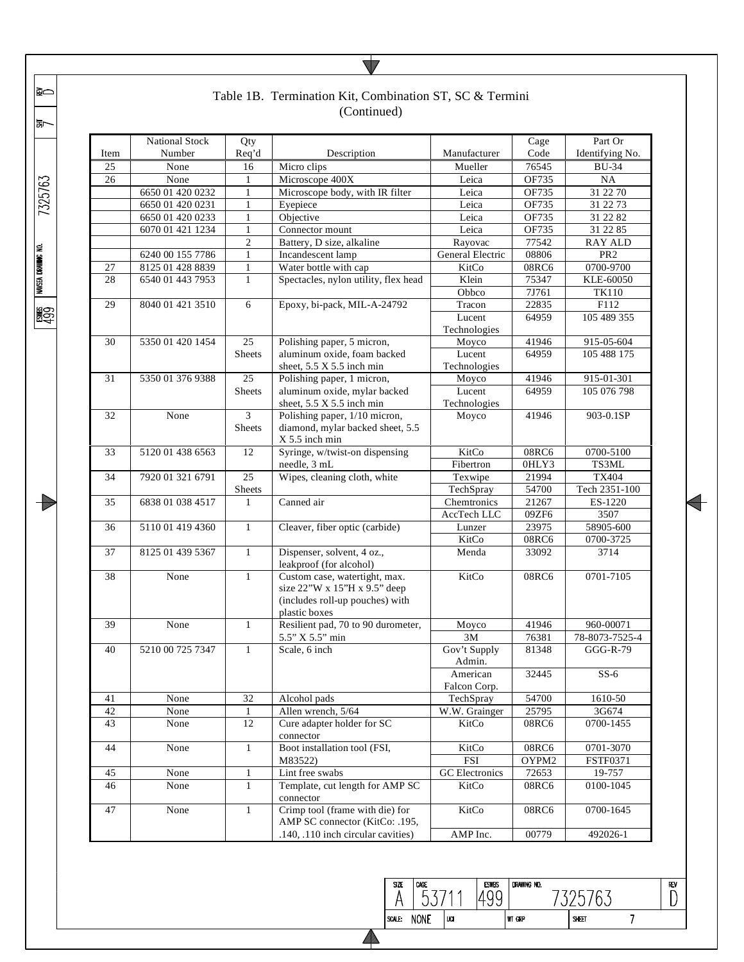|      |                                                                                  |                                                      | Table 1B. Termination Kit, Combination ST, SC & Termini<br>(Continued)                                            |                           |               |                            |
|------|----------------------------------------------------------------------------------|------------------------------------------------------|-------------------------------------------------------------------------------------------------------------------|---------------------------|---------------|----------------------------|
| Item | <b>National Stock</b><br>Number                                                  | Qty<br>Req'd                                         | Description                                                                                                       | Manufacturer              | Cage<br>Code  | Part Or<br>Identifying No. |
| 25   | None                                                                             | 16                                                   | Micro clips                                                                                                       | Mueller                   | 76545         | <b>BU-34</b>               |
| 26   | None                                                                             | $\mathbf{1}$                                         | Microscope 400X                                                                                                   | Leica                     | OF735         | NA                         |
|      | 6650 01 420 0232                                                                 | 1                                                    | Microscope body, with IR filter                                                                                   | Leica                     | OF735         | 31 22 70                   |
|      | 6650 01 420 0231                                                                 | $\mathbf{1}$                                         | Eyepiece                                                                                                          | Leica                     | OF735         | 31 22 73                   |
|      | 6650 01 420 0233                                                                 | $\mathbf{1}$                                         | Objective                                                                                                         | Leica                     | OF735         | 31 22 82                   |
|      | 6070 01 421 1234                                                                 | $\mathbf{1}$                                         | Connector mount                                                                                                   | Leica                     | OF735         | 31 22 85                   |
|      |                                                                                  | 2                                                    | Battery, D size, alkaline                                                                                         | Rayovac                   | 77542         | <b>RAY ALD</b>             |
|      | 6240 00 155 7786                                                                 | $\mathbf{1}$                                         | Incandescent lamp                                                                                                 | General Electric          | 08806         | PR <sub>2</sub>            |
| 27   | 8125 01 428 8839                                                                 | $\mathbf{1}$                                         | Water bottle with cap                                                                                             | KitCo                     | <b>08RC6</b>  | 0700-9700                  |
| 28   | 6540 01 443 7953                                                                 | $\mathbf{1}$                                         | Spectacles, nylon utility, flex head                                                                              | Klein                     | 75347         | KLE-60050                  |
|      |                                                                                  |                                                      |                                                                                                                   | Obbco                     | 7J761         | TK110                      |
| 29   |                                                                                  | Epoxy, bi-pack, MIL-A-24792<br>8040 01 421 3510<br>6 |                                                                                                                   | Tracon                    | 22835         | F112                       |
|      |                                                                                  |                                                      |                                                                                                                   | Lucent                    | 64959         | 105 489 355                |
|      | 5350 01 420 1454                                                                 | 25                                                   |                                                                                                                   | Technologies              | 41946         |                            |
|      | Polishing paper, 5 micron,<br>30<br>aluminum oxide, foam backed<br><b>Sheets</b> |                                                      |                                                                                                                   | Moyco<br>Lucent           | 64959         | 915-05-604<br>105 488 175  |
|      |                                                                                  |                                                      | sheet, 5.5 X 5.5 inch min                                                                                         | Technologies              |               |                            |
| 31   | 5350 01 376 9388                                                                 | 25                                                   | Polishing paper, 1 micron,                                                                                        | Moyco                     | 41946         | 915-01-301                 |
|      |                                                                                  | <b>Sheets</b>                                        | aluminum oxide, mylar backed                                                                                      | Lucent                    | 64959         | 105 076 798                |
|      |                                                                                  |                                                      | sheet, $5.5 \times 5.5$ inch min                                                                                  | Technologies              |               |                            |
| 32   | None                                                                             | 3                                                    | Polishing paper, 1/10 micron,                                                                                     | Moyco                     | 41946         | 903-0.1SP                  |
|      |                                                                                  | <b>Sheets</b>                                        | diamond, mylar backed sheet, 5.5<br>$X$ 5.5 inch min                                                              |                           |               |                            |
| 33   | 5120 01 438 6563                                                                 | 12                                                   | Syringe, w/twist-on dispensing                                                                                    | KitCo                     | 08RC6         | 0700-5100                  |
|      |                                                                                  |                                                      | needle, 3 mL                                                                                                      | Fibertron                 | 0HLY3         | TS3ML                      |
| 34   | 7920 01 321 6791                                                                 | 25                                                   | Wipes, cleaning cloth, white                                                                                      | Texwipe                   | 21994         | TX404                      |
|      |                                                                                  | Sheets                                               |                                                                                                                   | TechSpray                 | 54700         | Tech 2351-100              |
| 35   | 6838 01 038 4517                                                                 | 1                                                    | Canned air                                                                                                        | Chemtronics               | 21267         | ES-1220                    |
|      |                                                                                  |                                                      |                                                                                                                   | AccTech LLC               | 09ZF6         | 3507                       |
| 36   | 5110 01 419 4360                                                                 | $\mathbf{1}$                                         | Cleaver, fiber optic (carbide)                                                                                    | Lunzer                    | 23975         | 58905-600                  |
|      |                                                                                  |                                                      |                                                                                                                   | KitCo                     | 08RC6         | 0700-3725                  |
| 37   | 8125 01 439 5367                                                                 | $\mathbf{1}$                                         | Dispenser, solvent, 4 oz.,<br>leakproof (for alcohol)                                                             | Menda                     | 33092         | 3714                       |
| 38   | None                                                                             | 1                                                    | Custom case, watertight, max.<br>size 22"W x 15"H x 9.5" deep<br>(includes roll-up pouches) with<br>plastic boxes | KitCo                     | 08RC6         | 0701-7105                  |
| 39   | None                                                                             | $\mathbf{1}$                                         | Resilient pad, 70 to 90 durometer,                                                                                | Moyco                     | 41946         | 960-00071                  |
|      |                                                                                  |                                                      | 5.5" X 5.5" min                                                                                                   | 3M                        | 76381         | 78-8073-7525-4             |
| 40   | 5210 00 725 7347                                                                 | $\mathbf{1}$                                         | Scale, 6 inch                                                                                                     | Gov't Supply              | 81348         | $GGG-R-79$                 |
|      |                                                                                  |                                                      |                                                                                                                   | Admin.                    |               |                            |
|      |                                                                                  |                                                      |                                                                                                                   | American                  | 32445         | $SS-6$                     |
| 41   | None                                                                             | 32                                                   | Alcohol pads                                                                                                      | Falcon Corp.<br>TechSpray | 54700         | 1610-50                    |
| 42   | None                                                                             | $\mathbf{1}$                                         | Allen wrench, 5/64                                                                                                | W.W. Grainger             | 25795         | 3G674                      |
| 43   | None                                                                             | 12                                                   | Cure adapter holder for SC                                                                                        | KitCo                     | 08RC6         | 0700-1455                  |
|      |                                                                                  |                                                      | connector                                                                                                         |                           |               |                            |
| 44   | None                                                                             | $\mathbf{1}$                                         | Boot installation tool (FSI,                                                                                      | KitCo                     | $08{\rm RC}6$ | 0701-3070                  |
|      |                                                                                  |                                                      | M83522)                                                                                                           | <b>FSI</b>                | OYPM2         | <b>FSTF0371</b>            |
| 45   | None                                                                             | 1                                                    | Lint free swabs                                                                                                   | <b>GC</b> Electronics     | 72653         | 19-757                     |
| 46   | None                                                                             | $\mathbf{1}$                                         | Template, cut length for AMP SC<br>connector                                                                      | KitCo                     | 08RC6         | 0100-1045                  |
| 47   | None                                                                             | 1                                                    | Crimp tool (frame with die) for<br>AMP SC connector (KitCo: .195,                                                 | KitCo                     | 08RC6         | 0700-1645                  |
|      |                                                                                  |                                                      | .140, .110 inch circular cavities)                                                                                | AMP Inc.                  | 00779         | 492026-1                   |

 $\blacktriangle$ 

ESWES<br>499  $\sqrt{\frac{CAGE}{53711}}$  $\begin{array}{c} \overline{\text{size}} \\ \text{A} \end{array}$ DRAWING NO. 7325763 SCALE: NONE  $\overline{u}$ WT GRP

 $\begin{array}{c}\n\hline\n\text{REV} \\
\hline\n\end{array}$ 

 $\overline{7}$ 

 $\overline{\phantom{0}}$ 

7325763

∣ଛ⇔

|क्र~

 $\begin{array}{l|l} \hbox{ESMBS} \ \hbox{MUSE DRMING NO.} \ \hline \end{array}$ 

 $\begin{array}{c} \begin{array}{c} \end{array} \end{array}$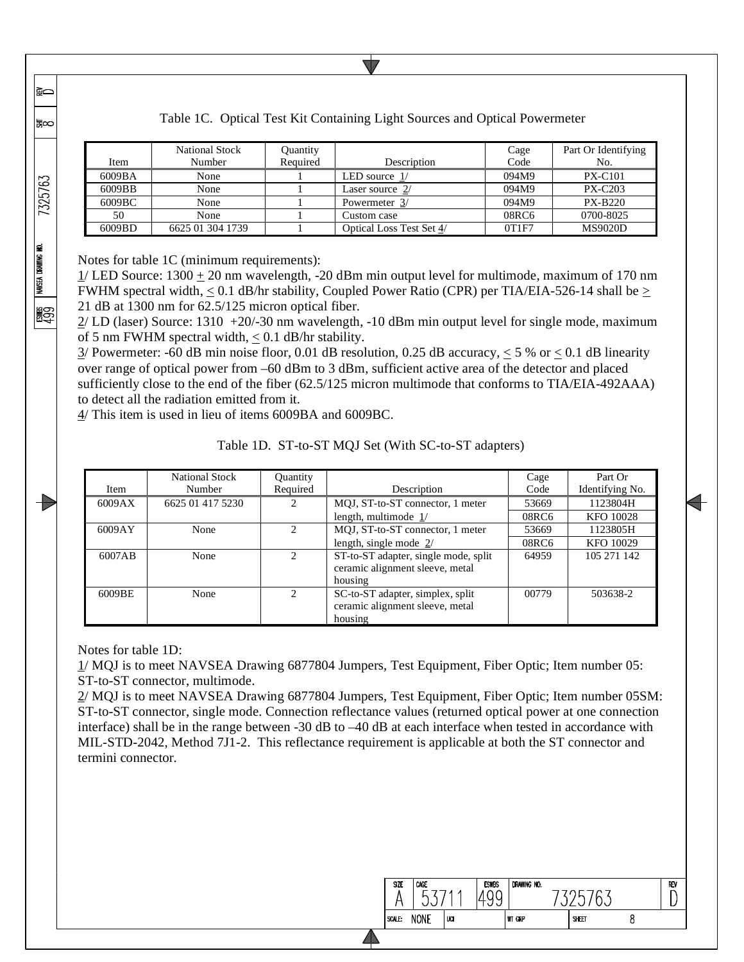|        | National Stock   | Quantity |                          | Cage  | Part Or Identifying |
|--------|------------------|----------|--------------------------|-------|---------------------|
| Item   | Number           | Required | Description              | Code  | No.                 |
| 6009BA | None             |          | LED source $1/$          | 094M9 | <b>PX-C101</b>      |
| 6009BB | None             |          | Laser source 2/          | 094M9 | <b>PX-C203</b>      |
| 6009BC | None             |          | Powermeter 3/            | 094M9 | <b>PX-B220</b>      |
| 50     | None             |          | Custom case              | 08RC6 | 0700-8025           |
| 6009BD | 6625 01 304 1739 |          | Optical Loss Test Set 4/ | 0T1F7 | <b>MS9020D</b>      |

Table 1C. Optical Test Kit Containing Light Sources and Optical Powermeter

Notes for table 1C (minimum requirements):

≩⇔

க∞

7325763

NAVSEA DRAWING NO.

**1999** 

 $1/$  LED Source:  $1300 \pm 20$  nm wavelength,  $-20$  dBm min output level for multimode, maximum of 170 nm FWHM spectral width,  $\leq 0.1$  dB/hr stability, Coupled Power Ratio (CPR) per TIA/EIA-526-14 shall be  $\geq$ 21 dB at 1300 nm for 62.5/125 micron optical fiber.

2/ LD (laser) Source: 1310 +20/-30 nm wavelength, -10 dBm min output level for single mode, maximum of 5 nm FWHM spectral width,  $\leq 0.1$  dB/hr stability.

 $3/$  Powermeter: -60 dB min noise floor, 0.01 dB resolution, 0.25 dB accuracy,  $\leq$  5 % or  $\leq$  0.1 dB linearity over range of optical power from –60 dBm to 3 dBm, sufficient active area of the detector and placed sufficiently close to the end of the fiber (62.5/125 micron multimode that conforms to TIA/EIA-492AAA) to detect all the radiation emitted from it.

4/ This item is used in lieu of items 6009BA and 6009BC.

Table 1D. ST-to-ST MQJ Set (With SC-to-ST adapters)

| Item   | <b>National Stock</b><br>Number | <b>Ouantity</b><br>Required   | Description                          | Cage<br>Code | Part Or<br>Identifying No. |
|--------|---------------------------------|-------------------------------|--------------------------------------|--------------|----------------------------|
| 6009AX | 6625 01 417 5230                | $\mathfrak{D}$                | MQJ, ST-to-ST connector, 1 meter     | 53669        | 1123804H                   |
|        |                                 |                               | length, multimode $1/$               | 08RC6        | <b>KFO 10028</b>           |
| 6009AY | None                            | $\mathfrak{D}$                | MQJ, ST-to-ST connector, 1 meter     | 53669        | 1123805H                   |
|        |                                 |                               | length, single mode $2/$             | 08RC6        | KFO 10029                  |
| 6007AB | None                            |                               | ST-to-ST adapter, single mode, split | 64959        | 105 271 142                |
|        |                                 |                               | ceramic alignment sleeve, metal      |              |                            |
|        |                                 |                               | housing                              |              |                            |
| 6009BE | None                            | $\mathfrak{D}_{\mathfrak{p}}$ | SC-to-ST adapter, simplex, split     | 00779        | 503638-2                   |
|        |                                 |                               | ceramic alignment sleeve, metal      |              |                            |
|        |                                 |                               | housing                              |              |                            |

Notes for table 1D:

1/ MQJ is to meet NAVSEA Drawing 6877804 Jumpers, Test Equipment, Fiber Optic; Item number 05: ST-to-ST connector, multimode.

2/ MQJ is to meet NAVSEA Drawing 6877804 Jumpers, Test Equipment, Fiber Optic; Item number 05SM: ST-to-ST connector, single mode. Connection reflectance values (returned optical power at one connection interface) shall be in the range between -30 dB to –40 dB at each interface when tested in accordance with MIL-STD-2042, Method 7J1-2. This reflectance requirement is applicable at both the ST connector and termini connector.

| <b>SIZE</b> | CAGE        |     | <b>ESWBS</b> | DRAWING NO.   |       | REV |
|-------------|-------------|-----|--------------|---------------|-------|-----|
| SCALE:      | <b>NONE</b> | UCI |              | <b>WT GRP</b> | SHEET |     |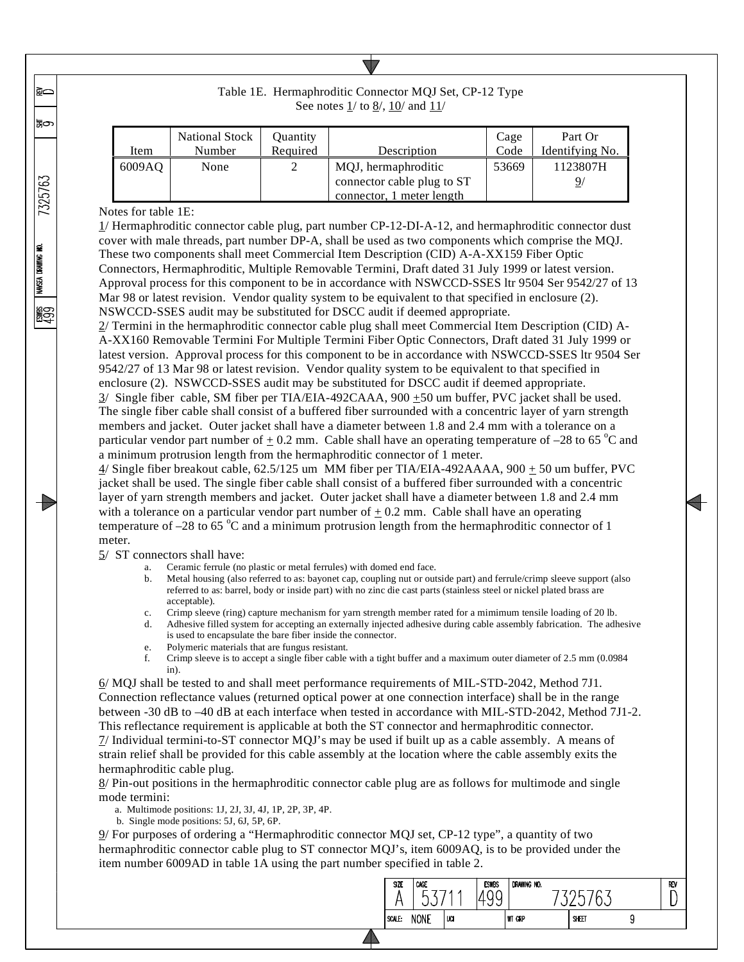|        | <b>National Stock</b> | Ouantity |                            | Cage  | Part Or         |
|--------|-----------------------|----------|----------------------------|-------|-----------------|
| Item   | Number                | Required | Description                | Code  | Identifying No. |
| 6009AO | None                  |          | MQJ, hermaphroditic        | 53669 | 1123807H        |
|        |                       |          | connector cable plug to ST |       | 9,              |
|        |                       |          | connector, 1 meter length  |       |                 |

Table 1E. Hermaphroditic Connector MQJ Set, CP-12 Type See notes  $1/$  to  $8/$ ,  $10/$  and  $11/$ 

#### Notes for table 1E:

1/ Hermaphroditic connector cable plug, part number CP-12-DI-A-12, and hermaphroditic connector dust cover with male threads, part number DP-A, shall be used as two components which comprise the MQJ. These two components shall meet Commercial Item Description (CID) A-A-XX159 Fiber Optic Connectors, Hermaphroditic, Multiple Removable Termini, Draft dated 31 July 1999 or latest version. Approval process for this component to be in accordance with NSWCCD-SSES ltr 9504 Ser 9542/27 of 13 Mar 98 or latest revision. Vendor quality system to be equivalent to that specified in enclosure (2). NSWCCD-SSES audit may be substituted for DSCC audit if deemed appropriate.

2/ Termini in the hermaphroditic connector cable plug shall meet Commercial Item Description (CID) A-A-XX160 Removable Termini For Multiple Termini Fiber Optic Connectors, Draft dated 31 July 1999 or latest version. Approval process for this component to be in accordance with NSWCCD-SSES ltr 9504 Ser 9542/27 of 13 Mar 98 or latest revision. Vendor quality system to be equivalent to that specified in enclosure (2). NSWCCD-SSES audit may be substituted for DSCC audit if deemed appropriate.  $3/$  Single fiber cable, SM fiber per TIA/EIA-492CAAA,  $900 \pm 50$  um buffer, PVC jacket shall be used. The single fiber cable shall consist of a buffered fiber surrounded with a concentric layer of yarn strength

members and jacket. Outer jacket shall have a diameter between 1.8 and 2.4 mm with a tolerance on a particular vendor part number of  $\pm$  0.2 mm. Cable shall have an operating temperature of -28 to 65 °C and a minimum protrusion length from the hermaphroditic connector of 1 meter.

4/ Single fiber breakout cable, 62.5/125 um MM fiber per TIA/EIA-492AAAA, 900 + 50 um buffer, PVC jacket shall be used. The single fiber cable shall consist of a buffered fiber surrounded with a concentric layer of yarn strength members and jacket. Outer jacket shall have a diameter between 1.8 and 2.4 mm with a tolerance on a particular vendor part number of  $\pm$  0.2 mm. Cable shall have an operating temperature of  $-28$  to 65  $^{\circ}$ C and a minimum protrusion length from the hermaphroditic connector of 1 meter.

- $5/$  ST connectors shall have:<br>a. Ceramic ferrule (no plastic or metal ferrules) with domed end face.
	- b. Metal housing (also referred to as: bayonet cap, coupling nut or outside part) and ferrule/crimp sleeve support (also referred to as: barrel, body or inside part) with no zinc die cast parts (stainless steel or nickel plated brass are acceptable).
	- c. Crimp sleeve (ring) capture mechanism for yarn strength member rated for a mimimum tensile loading of 20 lb.
	- d. Adhesive filled system for accepting an externally injected adhesive during cable assembly fabrication. The adhesive is used to encapsulate the bare fiber inside the connector.
	- e. Polymeric materials that are fungus resistant.
	- f. Crimp sleeve is to accept a single fiber cable with a tight buffer and a maximum outer diameter of 2.5 mm (0.0984 in).

6/ MQJ shall be tested to and shall meet performance requirements of MIL-STD-2042, Method 7J1. Connection reflectance values (returned optical power at one connection interface) shall be in the range between -30 dB to –40 dB at each interface when tested in accordance with MIL-STD-2042, Method 7J1-2. This reflectance requirement is applicable at both the ST connector and hermaphroditic connector. 7/ Individual termini-to-ST connector MQJ's may be used if built up as a cable assembly. A means of strain relief shall be provided for this cable assembly at the location where the cable assembly exits the hermaphroditic cable plug.

8/ Pin-out positions in the hermaphroditic connector cable plug are as follows for multimode and single mode termini:

a. Multimode positions: 1J, 2J, 3J, 4J, 1P, 2P, 3P, 4P.

b. Single mode positions: 5J, 6J, 5P, 6P.

9/ For purposes of ordering a "Hermaphroditic connector MQJ set, CP-12 type", a quantity of two hermaphroditic connector cable plug to ST connector MQJ's, item 6009AQ, is to be provided under the item number 6009AD in table 1A using the part number specified in table 2.



7325763

NAVSEA DRAWING NO.

**100** 

ি

'‱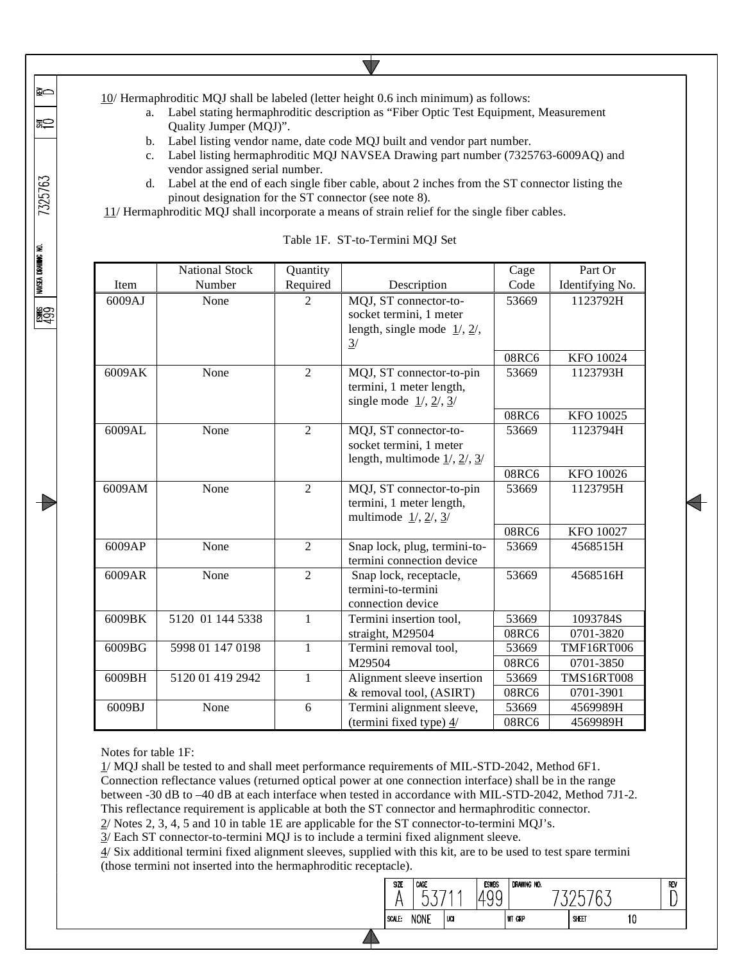10/ Hermaphroditic MQJ shall be labeled (letter height 0.6 inch minimum) as follows:

- a. Label stating hermaphroditic description as "Fiber Optic Test Equipment, Measurement Quality Jumper (MQJ)".
- b. Label listing vendor name, date code MQJ built and vendor part number.
- c. Label listing hermaphroditic MQJ NAVSEA Drawing part number (7325763-6009AQ) and vendor assigned serial number.
- d. Label at the end of each single fiber cable, about 2 inches from the ST connector listing the pinout designation for the ST connector (see note 8).

11/ Hermaphroditic MQJ shall incorporate a means of strain relief for the single fiber cables.

|        | <b>National Stock</b> | Quantity       |                                                                                                        | Cage  | Part Or           |
|--------|-----------------------|----------------|--------------------------------------------------------------------------------------------------------|-------|-------------------|
| Item   | Number                | Required       | Description                                                                                            | Code  | Identifying No.   |
| 6009AJ | None                  | $\overline{2}$ | MQJ, ST connector-to-<br>socket termini, 1 meter<br>length, single mode $1/$ , $2/$ ,<br>$\frac{3}{2}$ | 53669 | 1123792H          |
|        |                       |                |                                                                                                        | 08RC6 | KFO 10024         |
| 6009AK | None                  | $\overline{2}$ | MQJ, ST connector-to-pin<br>termini, 1 meter length,<br>single mode $1/$ , $2/$ , $3/$                 | 53669 | 1123793H          |
|        |                       |                |                                                                                                        | 08RC6 | KFO 10025         |
| 6009AL | None                  | $\overline{2}$ | MQJ, ST connector-to-<br>socket termini, 1 meter<br>length, multimode $1/$ , $2/$ , $3/$               | 53669 | 1123794H          |
|        |                       |                |                                                                                                        | 08RC6 | KFO 10026         |
| 6009AM | None                  | $\overline{2}$ | MQJ, ST connector-to-pin<br>termini, 1 meter length,<br>multimode $1/$ , $2/$ , $3/$                   | 53669 | 1123795H          |
|        |                       |                |                                                                                                        | 08RC6 | KFO 10027         |
| 6009AP | None                  | $\overline{2}$ | Snap lock, plug, termini-to-<br>termini connection device                                              | 53669 | 4568515H          |
| 6009AR | None                  | $\overline{2}$ | Snap lock, receptacle,<br>termini-to-termini<br>connection device                                      | 53669 | 4568516H          |
| 6009BK | 5120 01 144 5338      | 1              | Termini insertion tool,                                                                                | 53669 | 1093784S          |
|        |                       |                | straight, M29504                                                                                       | 08RC6 | 0701-3820         |
| 6009BG | 5998 01 147 0198      | 1              | Termini removal tool,                                                                                  | 53669 | <b>TMF16RT006</b> |
|        |                       |                | M29504                                                                                                 | 08RC6 | 0701-3850         |
| 6009BH | 5120 01 419 2942      | $\mathbf{1}$   | Alignment sleeve insertion                                                                             | 53669 | <b>TMS16RT008</b> |
|        |                       |                | & removal tool, (ASIRT)                                                                                | 08RC6 | 0701-3901         |
| 6009BJ | None                  | 6              | Termini alignment sleeve,                                                                              | 53669 | 4569989H          |
|        |                       |                | (termini fixed type) 4/                                                                                | 08RC6 | 4569989H          |

Table 1F. ST-to-Termini MQJ Set

Notes for table 1F:

**RO** 

≅

7325763

**NAVSEA DRAWING NO.** 

**ASC** 

13

1/ MQJ shall be tested to and shall meet performance requirements of MIL-STD-2042, Method 6F1. Connection reflectance values (returned optical power at one connection interface) shall be in the range between -30 dB to –40 dB at each interface when tested in accordance with MIL-STD-2042, Method 7J1-2. This reflectance requirement is applicable at both the ST connector and hermaphroditic connector. 2/ Notes 2, 3, 4, 5 and 10 in table 1E are applicable for the ST connector-to-termini MQJ's.

3/ Each ST connector-to-termini MQJ is to include a termini fixed alignment sleeve.

4/ Six additional termini fixed alignment sleeves, supplied with this kit, are to be used to test spare termini (those termini not inserted into the hermaphroditic receptacle).

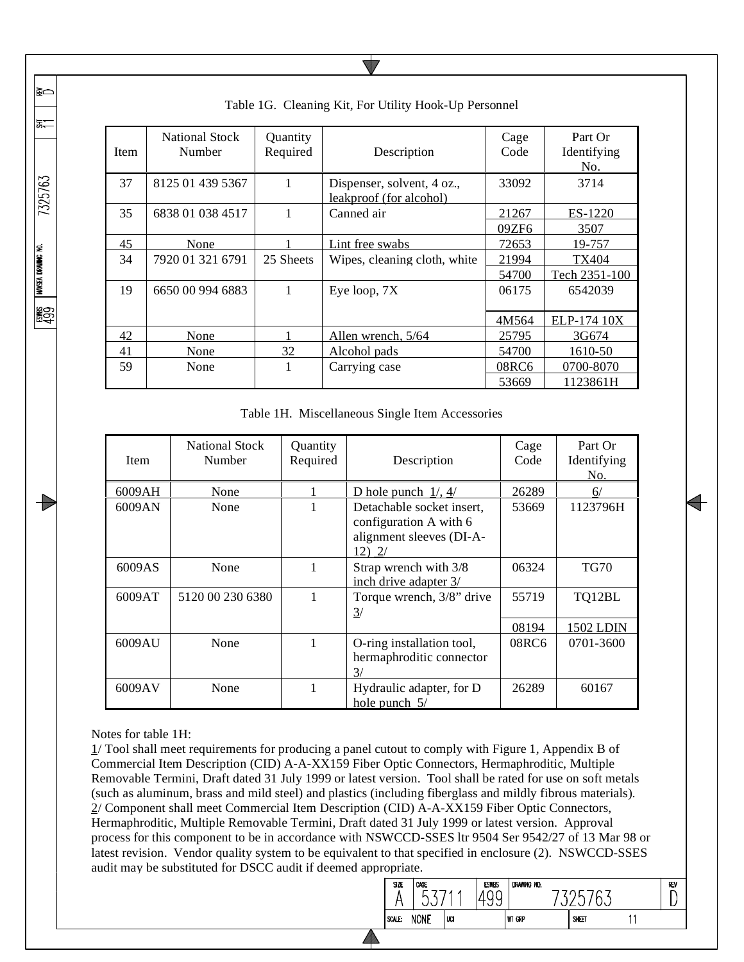| <b>Item</b> | <b>National Stock</b><br>Number | Quantity<br>Required | Description                                           | Cage<br>Code | Part Or<br>Identifying<br>No. |
|-------------|---------------------------------|----------------------|-------------------------------------------------------|--------------|-------------------------------|
| 37          | 8125 01 439 5367                | 1                    | Dispenser, solvent, 4 oz.,<br>leakproof (for alcohol) | 33092        | 3714                          |
| 35          | 6838 01 038 4517                |                      | Canned air                                            | 21267        | ES-1220                       |
|             |                                 |                      |                                                       | 09ZF6        | 3507                          |
| 45          | None                            |                      | Lint free swabs                                       | 72653        | 19-757                        |
| 34          | 7920 01 321 6791                | 25 Sheets            | Wipes, cleaning cloth, white                          | 21994        | TX404                         |
|             |                                 |                      |                                                       | 54700        | Tech 2351-100                 |
| 19          | 6650 00 994 6883                |                      | Eye loop, 7X                                          | 06175        | 6542039                       |
|             |                                 |                      |                                                       | 4M564        | ELP-174 10X                   |
| 42          | None                            |                      | Allen wrench, 5/64                                    | 25795        | 3G674                         |
| 41          | None                            | 32                   | Alcohol pads                                          | 54700        | 1610-50                       |
| 59          | None                            |                      | Carrying case                                         | 08RC6        | 0700-8070                     |
|             |                                 |                      |                                                       | 53669        | 1123861H                      |

Table 1G. Cleaning Kit, For Utility Hook-Up Personnel

Table 1H. Miscellaneous Single Item Accessories

| <b>Item</b> | <b>National Stock</b><br>Number | Quantity<br>Required | Description                                                                               | Cage<br>Code | Part Or<br>Identifying<br>No. |
|-------------|---------------------------------|----------------------|-------------------------------------------------------------------------------------------|--------------|-------------------------------|
| 6009AH      | None                            |                      | D hole punch $1/$ , $4/$                                                                  | 26289        | 6/                            |
| 6009AN      | None                            |                      | Detachable socket insert,<br>configuration A with 6<br>alignment sleeves (DI-A-<br>12) 2/ | 53669        | 1123796H                      |
| 6009AS      | None                            | 1                    | Strap wrench with 3/8<br>inch drive adapter 3/                                            | 06324        | <b>TG70</b>                   |
| 6009AT      | 5120 00 230 6380                | 1                    | Torque wrench, 3/8" drive<br>$\frac{3}{2}$                                                | 55719        | TQ12BL                        |
|             |                                 |                      |                                                                                           | 08194        | 1502 LDIN                     |
| 6009AU      | None                            |                      | O-ring installation tool,<br>hermaphroditic connector<br>$\mathcal{R}$                    | 08RC6        | 0701-3600                     |
| 6009AV      | None                            |                      | Hydraulic adapter, for D<br>hole punch $5/$                                               | 26289        | 60167                         |

Notes for table 1H:

**RO** 

동는

7325763

ESWES NAVSEA DRAWING NO.<br>4.9.9

13

1/ Tool shall meet requirements for producing a panel cutout to comply with Figure 1, Appendix B of Commercial Item Description (CID) A-A-XX159 Fiber Optic Connectors, Hermaphroditic, Multiple Removable Termini, Draft dated 31 July 1999 or latest version. Tool shall be rated for use on soft metals (such as aluminum, brass and mild steel) and plastics (including fiberglass and mildly fibrous materials). 2/ Component shall meet Commercial Item Description (CID) A-A-XX159 Fiber Optic Connectors, Hermaphroditic, Multiple Removable Termini, Draft dated 31 July 1999 or latest version. Approval process for this component to be in accordance with NSWCCD-SSES ltr 9504 Ser 9542/27 of 13 Mar 98 or latest revision. Vendor quality system to be equivalent to that specified in enclosure (2). NSWCCD-SSES audit may be substituted for DSCC audit if deemed appropriate.

◢

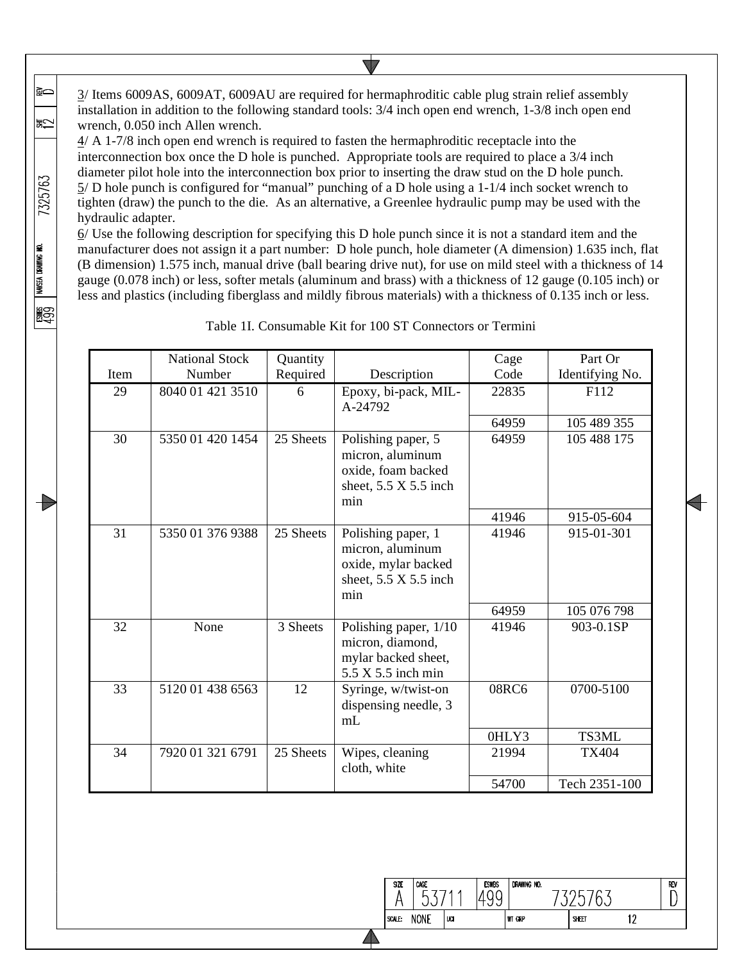3/ Items 6009AS, 6009AT, 6009AU are required for hermaphroditic cable plug strain relief assembly installation in addition to the following standard tools: 3/4 inch open end wrench, 1-3/8 inch open end wrench, 0.050 inch Allen wrench.

≩⇔

凯

7325763

NAVSEA DRAWING NO.

။<br>နူဌာ

4/ A 1-7/8 inch open end wrench is required to fasten the hermaphroditic receptacle into the interconnection box once the D hole is punched. Appropriate tools are required to place a 3/4 inch diameter pilot hole into the interconnection box prior to inserting the draw stud on the D hole punch. 5/ D hole punch is configured for "manual" punching of a D hole using a 1-1/4 inch socket wrench to tighten (draw) the punch to the die. As an alternative, a Greenlee hydraulic pump may be used with the hydraulic adapter.

 $6/$  Use the following description for specifying this D hole punch since it is not a standard item and the manufacturer does not assign it a part number: D hole punch, hole diameter (A dimension) 1.635 inch, flat (B dimension) 1.575 inch, manual drive (ball bearing drive nut), for use on mild steel with a thickness of 14 gauge (0.078 inch) or less, softer metals (aluminum and brass) with a thickness of 12 gauge (0.105 inch) or less and plastics (including fiberglass and mildly fibrous materials) with a thickness of 0.135 inch or less.

|      | <b>National Stock</b> | Quantity  |                                                                                                      | Cage  | Part Or         |
|------|-----------------------|-----------|------------------------------------------------------------------------------------------------------|-------|-----------------|
| Item | Number                | Required  | Description                                                                                          | Code  | Identifying No. |
| 29   | 8040 01 421 3510      | 6         | Epoxy, bi-pack, MIL-<br>A-24792                                                                      | 22835 | F112            |
|      |                       |           |                                                                                                      | 64959 | 105 489 355     |
| 30   | 5350 01 420 1454      | 25 Sheets | Polishing paper, 5<br>micron, aluminum<br>oxide, foam backed<br>sheet, $5.5 \times 5.5$ inch<br>min  | 64959 | 105 488 175     |
|      |                       |           |                                                                                                      | 41946 | 915-05-604      |
| 31   | 5350 01 376 9388      | 25 Sheets | Polishing paper, 1<br>micron, aluminum<br>oxide, mylar backed<br>sheet, $5.5 \times 5.5$ inch<br>min | 41946 | 915-01-301      |
|      |                       |           |                                                                                                      | 64959 | 105 076 798     |
| 32   | None                  | 3 Sheets  | Polishing paper, 1/10<br>micron, diamond,<br>mylar backed sheet,<br>$5.5 \times 5.5$ inch min        | 41946 | 903-0.1SP       |
| 33   | 5120 01 438 6563      | 12        | Syringe, w/twist-on<br>dispensing needle, 3<br>mL                                                    | 08RC6 | 0700-5100       |
|      |                       |           |                                                                                                      | 0HLY3 | TS3ML           |
| 34   | 7920 01 321 6791      | 25 Sheets | Wipes, cleaning<br>cloth, white                                                                      | 21994 | <b>TX404</b>    |
|      |                       |           |                                                                                                      | 54700 | Tech 2351-100   |

Table 1I. Consumable Kit for 100 ST Connectors or Termini

#### DRAWING NO. **SIZE** CAGE **ESWBS** REV  $5371'$ 7325763 1499 A  $\Box$ luar SCALE: NONE **WT GRP** SHEET  $12$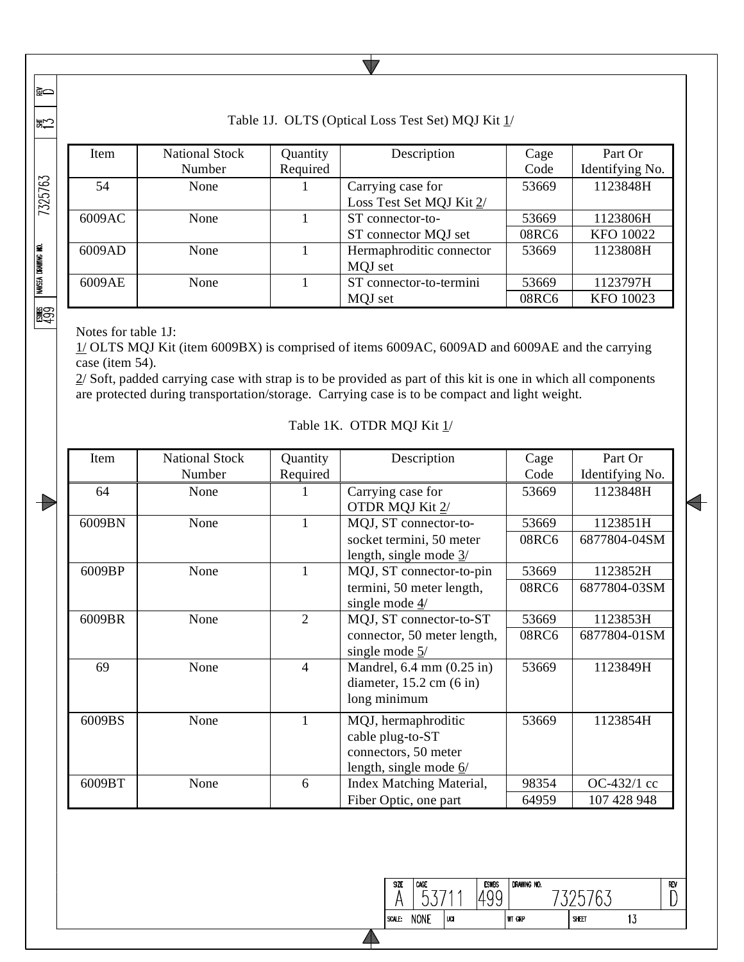∤≋చ

|≩⇔

# Table 1J. OLTS (Optical Loss Test Set) MQJ Kit 1/

 $\sqrt{}$ 

|                    | Item   | <b>National Stock</b> | Quantity | Description                                   | Cage  | Part Or         |
|--------------------|--------|-----------------------|----------|-----------------------------------------------|-------|-----------------|
|                    |        | Number                | Required |                                               | Code  | Identifying No. |
| 7325763            | 54     | None                  |          | Carrying case for<br>Loss Test Set MQJ Kit 2/ |       | 1123848H        |
|                    |        |                       |          |                                               |       |                 |
|                    | 6009AC | None                  |          | ST connector-to-                              | 53669 | 1123806H        |
|                    |        |                       |          | ST connector MQJ set                          | 08RC6 | KFO 10022       |
|                    | 6009AD | None                  |          | Hermaphroditic connector                      | 53669 | 1123808H        |
|                    |        |                       |          | MQJ set                                       |       |                 |
| NAVSEA DRAWING NO. | 6009AE | None                  |          | ST connector-to-termini                       | 53669 | 1123797H        |
|                    |        |                       |          | MQJ set                                       | 08RC6 | KFO 10023       |
| 鰐                  |        |                       |          |                                               |       |                 |

Notes for table 1J:

1/ OLTS MQJ Kit (item 6009BX) is comprised of items 6009AC, 6009AD and 6009AE and the carrying case (item 54).

 $2/$  Soft, padded carrying case with strap is to be provided as part of this kit is one in which all components are protected during transportation/storage. Carrying case is to be compact and light weight.

| <b>Stock</b> | Quantity | Description |  |
|--------------|----------|-------------|--|
| ۵r           | Required |             |  |

Table 1K. OTDR MQJ Kit  $1/$ 

| Item   | <b>National Stock</b><br>Number | Quantity<br>Required | Description                                                                                                    | Cage<br>Code   | Part Or<br>Identifying No. |
|--------|---------------------------------|----------------------|----------------------------------------------------------------------------------------------------------------|----------------|----------------------------|
| 64     | None                            |                      | Carrying case for<br>OTDR MQJ Kit 2/                                                                           | 53669          | 1123848H                   |
| 6009BN | None                            |                      | MQJ, ST connector-to-<br>socket termini, 50 meter                                                              | 53669<br>08RC6 | 1123851H<br>6877804-04SM   |
| 6009BP | None                            |                      | length, single mode $\frac{3}{2}$<br>MQJ, ST connector-to-pin<br>termini, 50 meter length,<br>single mode $4/$ | 53669<br>08RC6 | 1123852H<br>6877804-03SM   |
| 6009BR | None                            | $\overline{2}$       | MQJ, ST connector-to-ST<br>connector, 50 meter length,<br>single mode $\frac{5}{2}$                            | 53669<br>08RC6 | 1123853H<br>6877804-01SM   |
| 69     | None                            | $\overline{4}$       | Mandrel, $6.4 \text{ mm}$ $(0.25 \text{ in})$<br>diameter, $15.2$ cm $(6 \text{ in})$<br>long minimum          | 53669          | 1123849H                   |
| 6009BS | None                            | $\mathbf{1}$         | MQJ, hermaphroditic<br>cable plug-to-ST<br>connectors, 50 meter<br>length, single mode $6/$                    | 53669          | 1123854H                   |
| 6009BT | None                            | 6                    | Index Matching Material,<br>Fiber Optic, one part                                                              | 98354<br>64959 | OC-432/1 cc<br>107 428 948 |

| SIZE   | CAGE        |      | <b>ESWBS</b> | DRAWING NO.   |       |     |  |
|--------|-------------|------|--------------|---------------|-------|-----|--|
| SCALE: | <b>NONE</b> | luci |              | <b>WT GRP</b> | SHEET | ں ו |  |

 $RIV$  $\mathsf D$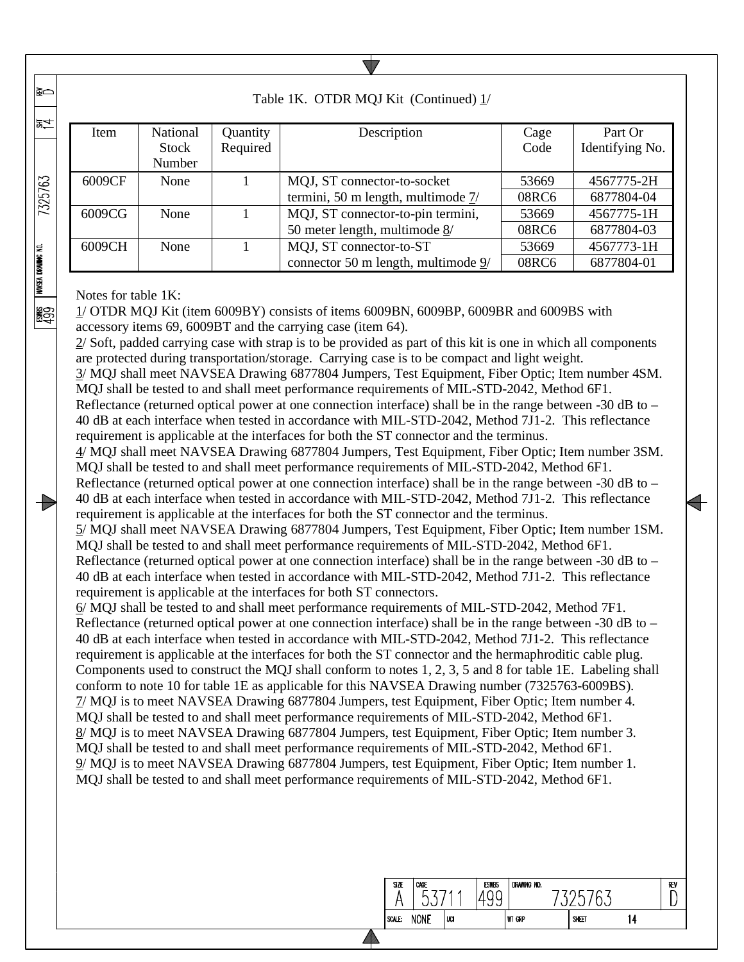| Table 1K. OTDR MQJ Kit (Continued) 1/ |                          |                      |                                       |              |                            |  |  |  |
|---------------------------------------|--------------------------|----------------------|---------------------------------------|--------------|----------------------------|--|--|--|
| <b>Item</b>                           | National<br><b>Stock</b> | Quantity<br>Required | Description                           | Cage<br>Code | Part Or<br>Identifying No. |  |  |  |
|                                       | Number                   |                      |                                       |              |                            |  |  |  |
| 6009CF                                | None                     |                      | MQJ, ST connector-to-socket           | 53669        | 4567775-2H                 |  |  |  |
|                                       |                          |                      | termini, 50 m length, multimode $7/$  | 08RC6        | 6877804-04                 |  |  |  |
| 6009CG                                | None                     |                      | MQJ, ST connector-to-pin termini,     | 53669        | 4567775-1H                 |  |  |  |
|                                       |                          |                      | 50 meter length, multimode 8/         | 08RC6        | 6877804-03                 |  |  |  |
| 6009CH                                | None                     |                      | MQJ, ST connector-to-ST               | 53669        | 4567773-1H                 |  |  |  |
|                                       |                          |                      | connector 50 m length, multimode $9/$ | 08RC6        | 6877804-01                 |  |  |  |

Notes for table 1K:

**R**o

当

7325763

**NAVSEA DRAWING NO.** 

**ESS** 

Đ

1/ OTDR MQJ Kit (item 6009BY) consists of items 6009BN, 6009BP, 6009BR and 6009BS with accessory items 69, 6009BT and the carrying case (item 64).

2/ Soft, padded carrying case with strap is to be provided as part of this kit is one in which all components are protected during transportation/storage. Carrying case is to be compact and light weight.

3/ MQJ shall meet NAVSEA Drawing 6877804 Jumpers, Test Equipment, Fiber Optic; Item number 4SM. MQJ shall be tested to and shall meet performance requirements of MIL-STD-2042, Method 6F1.

Reflectance (returned optical power at one connection interface) shall be in the range between -30 dB to – 40 dB at each interface when tested in accordance with MIL-STD-2042, Method 7J1-2. This reflectance requirement is applicable at the interfaces for both the ST connector and the terminus.

4/ MQJ shall meet NAVSEA Drawing 6877804 Jumpers, Test Equipment, Fiber Optic; Item number 3SM. MQJ shall be tested to and shall meet performance requirements of MIL-STD-2042, Method 6F1.

Reflectance (returned optical power at one connection interface) shall be in the range between -30 dB to – 40 dB at each interface when tested in accordance with MIL-STD-2042, Method 7J1-2. This reflectance requirement is applicable at the interfaces for both the ST connector and the terminus.

5/ MQJ shall meet NAVSEA Drawing 6877804 Jumpers, Test Equipment, Fiber Optic; Item number 1SM. MQJ shall be tested to and shall meet performance requirements of MIL-STD-2042, Method 6F1.

Reflectance (returned optical power at one connection interface) shall be in the range between -30 dB to – 40 dB at each interface when tested in accordance with MIL-STD-2042, Method 7J1-2. This reflectance requirement is applicable at the interfaces for both ST connectors.

6/ MQJ shall be tested to and shall meet performance requirements of MIL-STD-2042, Method 7F1. Reflectance (returned optical power at one connection interface) shall be in the range between -30 dB to – 40 dB at each interface when tested in accordance with MIL-STD-2042, Method 7J1-2. This reflectance requirement is applicable at the interfaces for both the ST connector and the hermaphroditic cable plug. Components used to construct the MQJ shall conform to notes 1, 2, 3, 5 and 8 for table 1E. Labeling shall conform to note 10 for table 1E as applicable for this NAVSEA Drawing number (7325763-6009BS). 7/ MQJ is to meet NAVSEA Drawing 6877804 Jumpers, test Equipment, Fiber Optic; Item number 4. MQJ shall be tested to and shall meet performance requirements of MIL-STD-2042, Method 6F1. 8/ MQJ is to meet NAVSEA Drawing 6877804 Jumpers, test Equipment, Fiber Optic; Item number 3. MQJ shall be tested to and shall meet performance requirements of MIL-STD-2042, Method 6F1. 9/ MQJ is to meet NAVSEA Drawing 6877804 Jumpers, test Equipment, Fiber Optic; Item number 1. MQJ shall be tested to and shall meet performance requirements of MIL-STD-2042, Method 6F1.

| SIZE   | CAGE        |     | <b>ESWBS</b> | DRAWING NO. |       |   | REV |
|--------|-------------|-----|--------------|-------------|-------|---|-----|
| SCALE: | <b>NONE</b> | UCI |              | WT GRP      | SHEET | Д |     |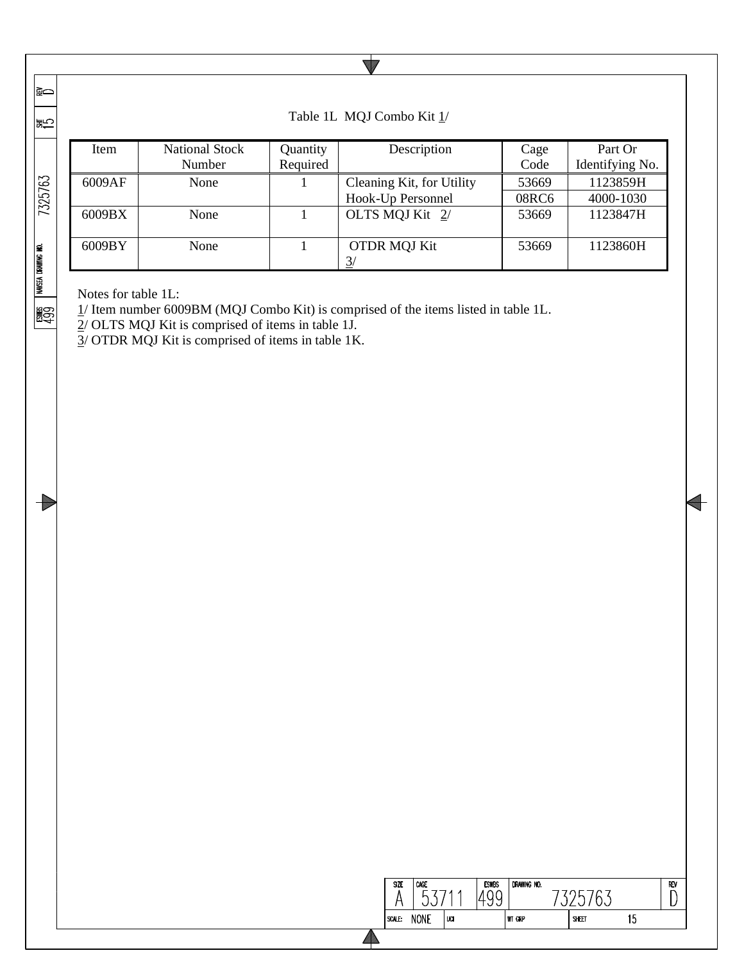|≩⇔ l돐

1999

 $\Rightarrow$ 

| ।ऊ≑∠               |                            |                       |          |                           |       |                 |
|--------------------|----------------------------|-----------------------|----------|---------------------------|-------|-----------------|
|                    | Item                       | <b>National Stock</b> | Quantity | Description               | Cage  | Part Or         |
|                    |                            | Number                | Required |                           | Code  | Identifying No. |
| 7325763            | 6009AF<br>None             |                       |          | Cleaning Kit, for Utility | 53669 | 1123859H        |
|                    |                            |                       |          | Hook-Up Personnel         | 08RC6 | 4000-1030       |
|                    | 6009BX                     | None                  |          | OLTS MOJ Kit 2/           | 53669 | 1123847H        |
| NAVSEA DRAWING NO. | 6009BY                     | None                  |          | <b>OTDR MQJ Kit</b><br>3/ | 53669 | 1123860H        |
|                    | Notes for table $11 \cdot$ |                       |          |                           |       |                 |

Notes for table 1L:

1/ Item number 6009BM (MQJ Combo Kit) is comprised of the items listed in table 1L.

2/ OLTS MQJ Kit is comprised of items in table 1J.

 $3/$  OTDR MQJ Kit is comprised of items in table 1K.

|                 | Table 1L MQJ Combo Kit 1/ |
|-----------------|---------------------------|
| <b>Ouantity</b> | Description               |

 $\blacktriangledown$ 

| <b>SIZE</b> | CAGE<br>∽   | л   | <b>ESWBS</b><br>ᅩ<br>$\check{ }$<br>ັ | DRAWING NO.   |       |         | REV |
|-------------|-------------|-----|---------------------------------------|---------------|-------|---------|-----|
| SCALE:      | <b>NONE</b> | UCI |                                       | <b>WT GRP</b> | SHEET | ۰.<br>u |     |
|             |             |     |                                       |               |       |         |     |

 $\overline{\phantom{a}}$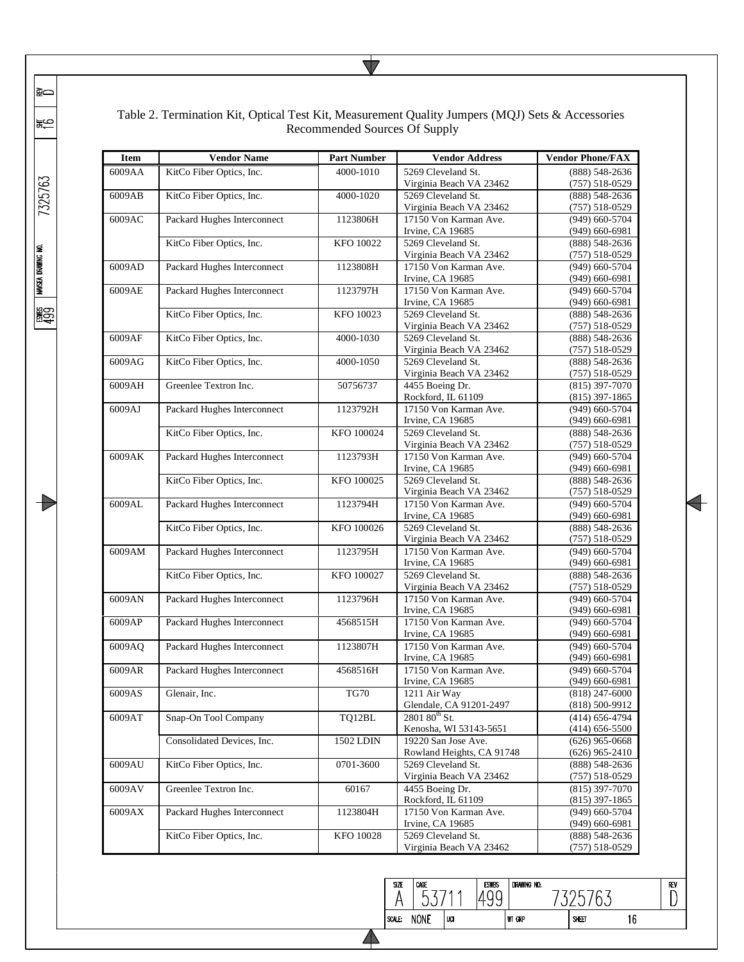| <b>Item</b> | <b>Vendor Name</b>          | <b>Part Number</b> | <b>Vendor Address</b>     | <b>Vendor Phone/FAX</b> |
|-------------|-----------------------------|--------------------|---------------------------|-------------------------|
| 6009AA      | KitCo Fiber Optics, Inc.    | 4000-1010          | 5269 Cleveland St.        | (888) 548-2636          |
|             |                             |                    | Virginia Beach VA 23462   | $(757) 518 - 0529$      |
| 6009AB      | KitCo Fiber Optics, Inc.    | 4000-1020          | 5269 Cleveland St.        | (888) 548-2636          |
|             |                             |                    | Virginia Beach VA 23462   | $(757) 518 - 0529$      |
| 6009AC      | Packard Hughes Interconnect | 1123806H           | 17150 Von Karman Ave.     | (949) 660-5704          |
|             |                             |                    | Irvine, CA 19685          | $(949)$ 660-6981        |
|             | KitCo Fiber Optics, Inc.    | KFO 10022          | 5269 Cleveland St.        | (888) 548-2636          |
|             |                             |                    |                           |                         |
|             |                             |                    | Virginia Beach VA 23462   | $(757) 518 - 0529$      |
| 6009AD      | Packard Hughes Interconnect | 1123808H           | 17150 Von Karman Ave.     | (949) 660-5704          |
|             |                             |                    | Irvine, CA 19685          | $(949)$ 660-6981        |
| 6009AE      | Packard Hughes Interconnect | 1123797H           | 17150 Von Karman Ave.     | $(949)$ 660-5704        |
|             |                             |                    | Irvine, CA 19685          | $(949)$ 660-6981        |
|             | KitCo Fiber Optics, Inc.    | KFO 10023          | 5269 Cleveland St.        | (888) 548-2636          |
|             |                             |                    | Virginia Beach VA 23462   | $(757) 518 - 0529$      |
| 6009AF      | KitCo Fiber Optics, Inc.    | 4000-1030          | 5269 Cleveland St.        | $(888)$ 548-2636        |
|             |                             |                    | Virginia Beach VA 23462   | $(757) 518 - 0529$      |
| 6009AG      | KitCo Fiber Optics, Inc.    | 4000-1050          | 5269 Cleveland St.        | (888) 548-2636          |
|             |                             |                    | Virginia Beach VA 23462   | $(757) 518 - 0529$      |
| 6009AH      | Greenlee Textron Inc.       | 50756737           | 4455 Boeing Dr.           | $(815)$ 397-7070        |
|             |                             |                    | Rockford, IL 61109        | $(815)$ 397-1865        |
| 6009AJ      | Packard Hughes Interconnect | 1123792H           | 17150 Von Karman Ave.     | $(949)$ 660-5704        |
|             |                             |                    | Irvine, CA 19685          | $(949)$ 660-6981        |
|             | KitCo Fiber Optics, Inc.    | KFO 100024         | 5269 Cleveland St.        | (888) 548-2636          |
|             |                             |                    | Virginia Beach VA 23462   | $(757) 518 - 0529$      |
| 6009AK      | Packard Hughes Interconnect | 1123793H           | 17150 Von Karman Ave.     | (949) 660-5704          |
|             |                             |                    | Irvine, CA 19685          |                         |
|             |                             |                    | 5269 Cleveland St.        | $(949)$ 660-6981        |
|             | KitCo Fiber Optics, Inc.    | KFO 100025         |                           | (888) 548-2636          |
|             |                             |                    | Virginia Beach VA 23462   | $(757) 518 - 0529$      |
| 6009AL      | Packard Hughes Interconnect | 1123794H           | 17150 Von Karman Ave.     | (949) 660-5704          |
|             |                             |                    | Irvine, CA 19685          | $(949)$ 660-6981        |
|             | KitCo Fiber Optics, Inc.    | KFO 100026         | 5269 Cleveland St.        | (888) 548-2636          |
|             |                             |                    | Virginia Beach VA 23462   | $(757) 518 - 0529$      |
| 6009AM      | Packard Hughes Interconnect | 1123795H           | 17150 Von Karman Ave.     | $(949)$ 660-5704        |
|             |                             |                    | Irvine, CA 19685          | $(949)$ 660-6981        |
|             | KitCo Fiber Optics, Inc.    | KFO 100027         | 5269 Cleveland St.        | $(888) 548 - 2636$      |
|             |                             |                    | Virginia Beach VA 23462   | $(757) 518 - 0529$      |
| 6009AN      | Packard Hughes Interconnect | 1123796H           | 17150 Von Karman Ave.     | (949) 660-5704          |
|             |                             |                    | Irvine, CA 19685          | $(949)$ 660-6981        |
| 6009AP      | Packard Hughes Interconnect | 4568515H           | 17150 Von Karman Ave.     | (949) 660-5704          |
|             |                             |                    | Irvine, CA 19685          | $(949)$ 660-6981        |
| 6009AQ      | Packard Hughes Interconnect | 1123807H           | 17150 Von Karman Ave.     | (949) 660-5704          |
|             |                             |                    | Irvine, CA 19685          | $(949)$ 660-6981        |
|             |                             | 4568516H           | 17150 Von Karman Ave.     | (949) 660-5704          |
| 6009AR      | Packard Hughes Interconnect |                    |                           |                         |
|             |                             |                    | Irvine, CA 19685          | $(949)$ 660-6981        |
| 6009AS      | Glenair, Inc.               | TG70               | 1211 Air Way              | $(818)$ 247-6000        |
| 6009AT      |                             |                    | Glendale, CA 91201-2497   | $(818) 500 - 9912$      |
|             | Snap-On Tool Company        | TQ12BL             | 2801 80 <sup>th</sup> St. | $(414)$ 656-4794        |
|             |                             |                    | Kenosha, WI 53143-5651    | $(414)$ 656-5500        |
|             | Consolidated Devices, Inc.  | 1502 LDIN          | 19220 San Jose Ave.       | $(626)$ 965-0668        |
|             |                             |                    | Rowland Heights, CA 91748 | $(626)$ 965-2410        |
| 6009AU      | KitCo Fiber Optics, Inc.    | 0701-3600          | 5269 Cleveland St.        | (888) 548-2636          |
|             |                             |                    | Virginia Beach VA 23462   | $(757) 518 - 0529$      |
| 6009AV      | Greenlee Textron Inc.       | 60167              | 4455 Boeing Dr.           | (815) 397-7070          |
|             |                             |                    | Rockford, IL 61109        | $(815)$ 397-1865        |
| 6009AX      | Packard Hughes Interconnect | 1123804H           | 17150 Von Karman Ave.     | $(949)$ 660-5704        |
|             |                             |                    | Irvine, CA 19685          | $(949)$ 660-6981        |
|             | KitCo Fiber Optics, Inc.    | <b>KFO 10028</b>   | 5269 Cleveland St.        | (888) 548-2636          |
|             |                             |                    | Virginia Beach VA 23462   |                         |
|             |                             |                    |                           | $(757) 518 - 0529$      |

# Table 2. Termination Kit, Optical Test Kit, Measurement Quality Jumpers (MQJ) Sets & Accessories<br>Recommended Sources Of Supply

 $\overline{\P}$ 



 $\overline{\phantom{0}}$ 

 $\overline{\mathbb{D}}$ 

7325763

|≩⇔

|≋⊖

esnes || wasea drawing no.<br>499

 $\rightarrow$